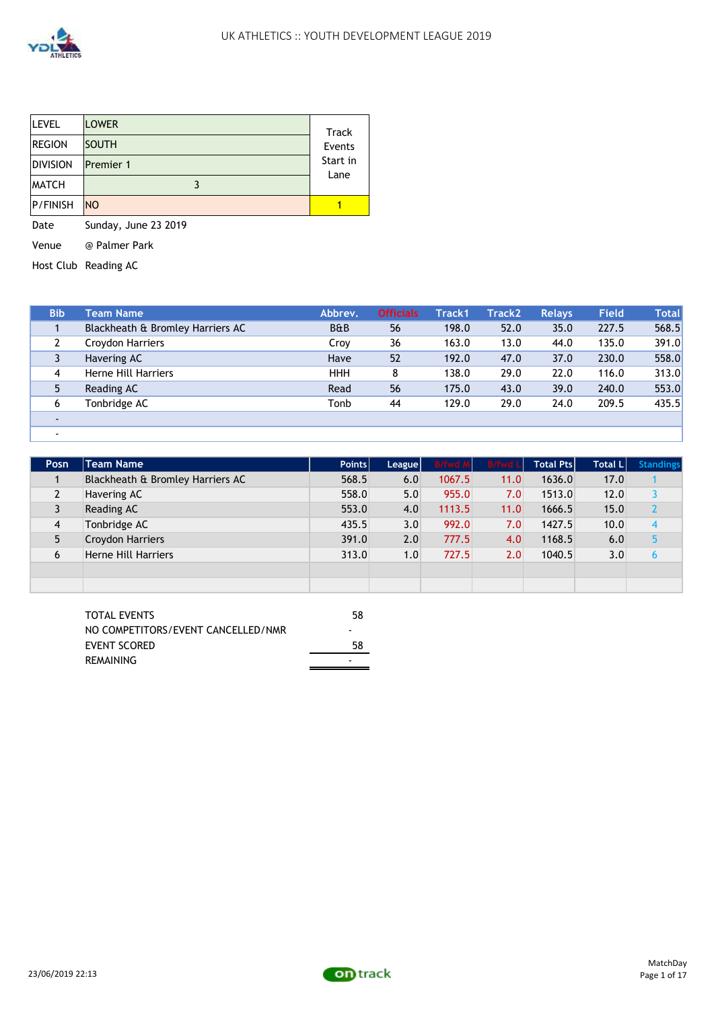

| <b>LEVEL</b>    | <b>LOWER</b>     | Track    |
|-----------------|------------------|----------|
| <b>REGION</b>   | <b>SOUTH</b>     | Events   |
| <b>DIVISION</b> | <b>Premier 1</b> | Start in |
| <b>MATCH</b>    |                  | Lane     |
| <b>P/FINISH</b> | <b>NO</b>        |          |

Date Sunday, June 23 2019

Venue @ Palmer Park

Host Club Reading AC

| <b>Bib</b>               | Team Name                        | Abbrev.        | <b>Officials</b> | Track1 | Track2 | <b>Relays</b> | <b>Field</b> | <b>Total</b> |
|--------------------------|----------------------------------|----------------|------------------|--------|--------|---------------|--------------|--------------|
|                          | Blackheath & Bromley Harriers AC | <b>B&amp;B</b> | 56               | 198.0  | 52.0   | 35.0          | 227.5        | 568.5        |
|                          | Croydon Harriers                 | Croy           | 36               | 163.0  | 13.0   | 44.0          | 135.0        | 391.0        |
|                          | Havering AC                      | Have           | 52               | 192.0  | 47.0   | 37.0          | 230.0        | 558.0        |
| 4                        | Herne Hill Harriers              | <b>HHH</b>     | 8                | 138.0  | 29.0   | 22.0          | 116.0        | 313.0        |
| 5                        | Reading AC                       | Read           | 56               | 175.0  | 43.0   | 39.0          | 240.0        | 553.0        |
| 6                        | Tonbridge AC                     | Tonb           | 44               | 129.0  | 29.0   | 24.0          | 209.5        | 435.5        |
| $\overline{\phantom{a}}$ |                                  |                |                  |        |        |               |              |              |
| $\overline{\phantom{a}}$ |                                  |                |                  |        |        |               |              |              |

| Posn           | <b>Team Name</b>                 | Points | League | <b>B/fwd M</b> | <b>B/fwd L</b> | <b>Total Ptsl</b> | <b>Total LI</b> | <b>Standings</b> |
|----------------|----------------------------------|--------|--------|----------------|----------------|-------------------|-----------------|------------------|
|                | Blackheath & Bromley Harriers AC | 568.5  | 6.0    | 1067.5         | 11.0           | 1636.0            | 17.0            |                  |
| 2              | Havering AC                      | 558.0  | 5.0    | 955.0          | 7.0            | 1513.0            | 12.0            |                  |
|                | Reading AC                       | 553.0  | 4.0    | 1113.5         | 11.0           | 1666.5            | 15.0            |                  |
| $\overline{4}$ | Tonbridge AC                     | 435.5  | 3.0    | 992.0          | 7.0            | 1427.5            | 10.0            | 4                |
| 5              | Croydon Harriers                 | 391.0  | 2.0    | 777.5          | 4.0            | 1168.5            | 6.0             |                  |
| 6              | <b>Herne Hill Harriers</b>       | 313.0  | 1.0    | 727.5          | 2.0            | 1040.5            | 3.0             | h                |
|                |                                  |        |        |                |                |                   |                 |                  |
|                |                                  |        |        |                |                |                   |                 |                  |

| <b>TOTAL EVENTS</b>                | 58 |
|------------------------------------|----|
| NO COMPETITORS/EVENT CANCELLED/NMR | -  |
| EVENT SCORED                       | 58 |
| REMAINING                          | -  |

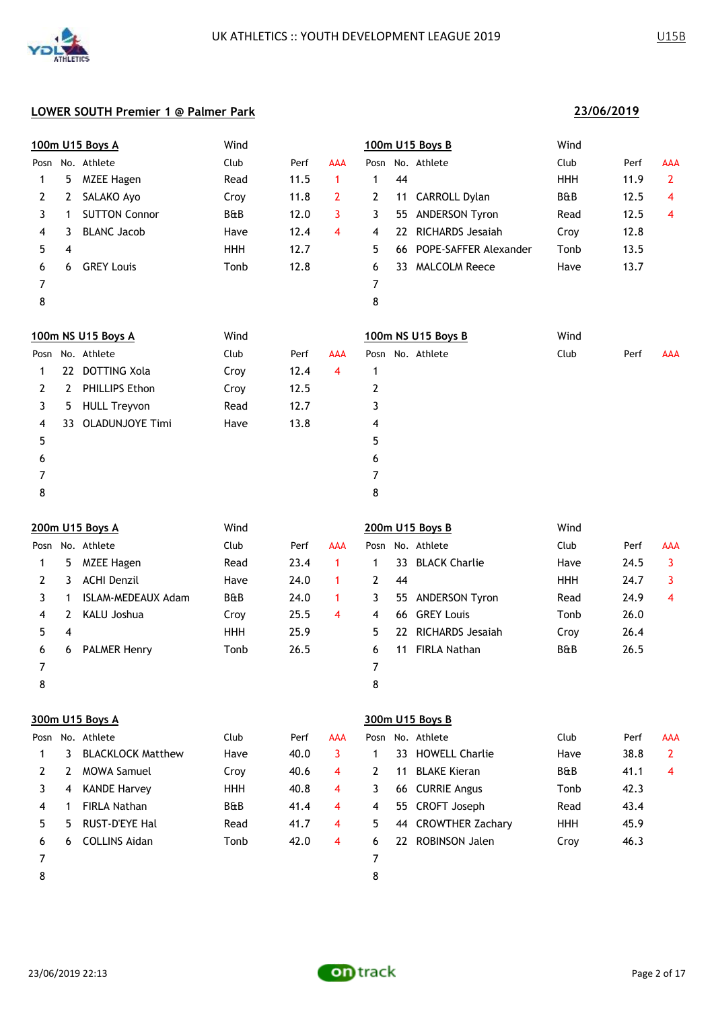

|      |     | 100m U15 Boys A        | Wind       |      |            |      | 100m U15 Boys B               | Wind           |      |                |  |  |
|------|-----|------------------------|------------|------|------------|------|-------------------------------|----------------|------|----------------|--|--|
| Posn |     | No. Athlete            | Club       | Perf | <b>AAA</b> | Posn | No. Athlete                   | Club           | Perf | <b>AAA</b>     |  |  |
| 1    | 5   | <b>MZEE Hagen</b>      | Read       | 11.5 | 1          | 1    | 44                            | <b>HHH</b>     | 11.9 | $\overline{2}$ |  |  |
| 2    | 2   | SALAKO Ayo             | Croy       | 11.8 | 2          | 2    | CARROLL Dylan<br>11           | <b>B&amp;B</b> | 12.5 | 4              |  |  |
| 3    | 1   | <b>SUTTON Connor</b>   | B&B        | 12.0 | 3          | 3    | ANDERSON Tyron<br>55          | Read           | 12.5 | 4              |  |  |
| 4    | 3   | <b>BLANC Jacob</b>     | Have       | 12.4 | 4          | 4    | <b>RICHARDS Jesaiah</b><br>22 | Croy           | 12.8 |                |  |  |
| 5    | 4   |                        | <b>HHH</b> | 12.7 |            | 5    | POPE-SAFFER Alexander<br>66   | Tonb           | 13.5 |                |  |  |
| 6    | 6   | <b>GREY Louis</b>      | Tonb       | 12.8 |            | 6    | 33 MALCOLM Reece              | Have           | 13.7 |                |  |  |
| 7    |     |                        |            |      |            | 7    |                               |                |      |                |  |  |
| 8    |     |                        |            |      |            | 8    |                               |                |      |                |  |  |
|      |     | 100m NS U15 Boys A     | Wind       |      |            |      | 100m NS U15 Boys B            | Wind           |      |                |  |  |
| Posn |     | No. Athlete            | Club       | Perf | AAA        |      | Posn No. Athlete              | Club           | Perf | <b>AAA</b>     |  |  |
| 1    | 22  | <b>DOTTING Xola</b>    | Croy       | 12.4 | 4          | 1    |                               |                |      |                |  |  |
| 2    | 2   | PHILLIPS Ethon         | Croy       | 12.5 |            | 2    |                               |                |      |                |  |  |
| 3    | 5.  | <b>HULL Treyvon</b>    | Read       | 12.7 |            | 3    |                               |                |      |                |  |  |
| 4    | 33. | <b>OLADUNJOYE Timi</b> | Have       | 13.8 |            | 4    |                               |                |      |                |  |  |
| 5    |     |                        |            |      |            | 5    |                               |                |      |                |  |  |
| 6    |     |                        |            |      |            | 6    |                               |                |      |                |  |  |
| 7    |     |                        |            |      |            | 7    |                               |                |      |                |  |  |
| 8    |     |                        |            |      |            | 8    |                               |                |      |                |  |  |
|      |     | 200m U15 Boys A        | Wind       |      |            |      | 200m U15 Boys B               | Wind           |      |                |  |  |
|      |     | Posn No. Athlete       | Club       | Perf | <b>AAA</b> |      | Posn No. Athlete              | Club           | Perf | <b>AAA</b>     |  |  |

| Posn |    | No. Athlete         | Club       | Perf | AAA |    |    | Posn No. Athlete    | Club           | Perf | <b>AAA</b> |
|------|----|---------------------|------------|------|-----|----|----|---------------------|----------------|------|------------|
|      | 5. | MZEE Hagen          | Read       | 23.4 |     |    |    | 33 BLACK Charlie    | Have           | 24.5 | 3          |
|      | 3. | ACHI Denzil         | Have       | 24.0 |     |    | 44 |                     | <b>HHH</b>     | 24.7 | 3          |
|      |    | ISLAM-MEDEAUX Adam  | B&B        | 24.0 |     | 3  |    | 55 ANDERSON Tyron   | Read           | 24.9 | 4          |
| 4    |    | KALU Joshua         | Croy       | 25.5 | 4   | 4  |    | 66 GREY Louis       | Tonb           | 26.0 |            |
| 5.   | 4  |                     | <b>HHH</b> | 25.9 |     | 5. |    | 22 RICHARDS Jesajah | Croy           | 26.4 |            |
| 6    | 6  | <b>PALMER Henry</b> | Tonb       | 26.5 |     | 6. | 11 | FIRLA Nathan        | <b>B&amp;B</b> | 26.5 |            |
|      |    |                     |            |      |     |    |    |                     |                |      |            |
| 8    |    |                     |            |      |     | 8  |    |                     |                |      |            |

|      |   | 300m U15 Boys A          |                |      |     | 300m U15 Boys B |    |                         |                |      |                |  |  |
|------|---|--------------------------|----------------|------|-----|-----------------|----|-------------------------|----------------|------|----------------|--|--|
| Posn |   | No. Athlete              | Club           | Perf | AAA | Posn            |    | No. Athlete             | Club           | Perf | <b>AAA</b>     |  |  |
|      | 3 | <b>BLACKLOCK Matthew</b> | Have           | 40.0 | 3   |                 | 33 | <b>HOWELL Charlie</b>   | Have           | 38.8 | $\overline{2}$ |  |  |
| 2    |   | <b>MOWA Samuel</b>       | Croy           | 40.6 | 4   | 2               | 11 | <b>BLAKE Kieran</b>     | <b>B&amp;B</b> | 41.1 | 4              |  |  |
| 3    | 4 | <b>KANDE Harvey</b>      | <b>HHH</b>     | 40.8 | 4   | 3.              | 66 | <b>CURRIE Angus</b>     | Tonb           | 42.3 |                |  |  |
| 4    |   | <b>FIRLA Nathan</b>      | <b>B&amp;B</b> | 41.4 | 4   | 4               | 55 | CROFT Joseph            | Read           | 43.4 |                |  |  |
| 5    | 5 | <b>RUST-D'EYE Hal</b>    | Read           | 41.7 | 4   | 5.              | 44 | <b>CROWTHER Zachary</b> | <b>HHH</b>     | 45.9 |                |  |  |
| 6    | 6 | <b>COLLINS Aidan</b>     | Tonb           | 42.0 | 4   | 6               | 22 | <b>ROBINSON Jalen</b>   | Croy           | 46.3 |                |  |  |
| 7    |   |                          |                |      |     | 7               |    |                         |                |      |                |  |  |
| 8    |   |                          |                |      |     | 8               |    |                         |                |      |                |  |  |

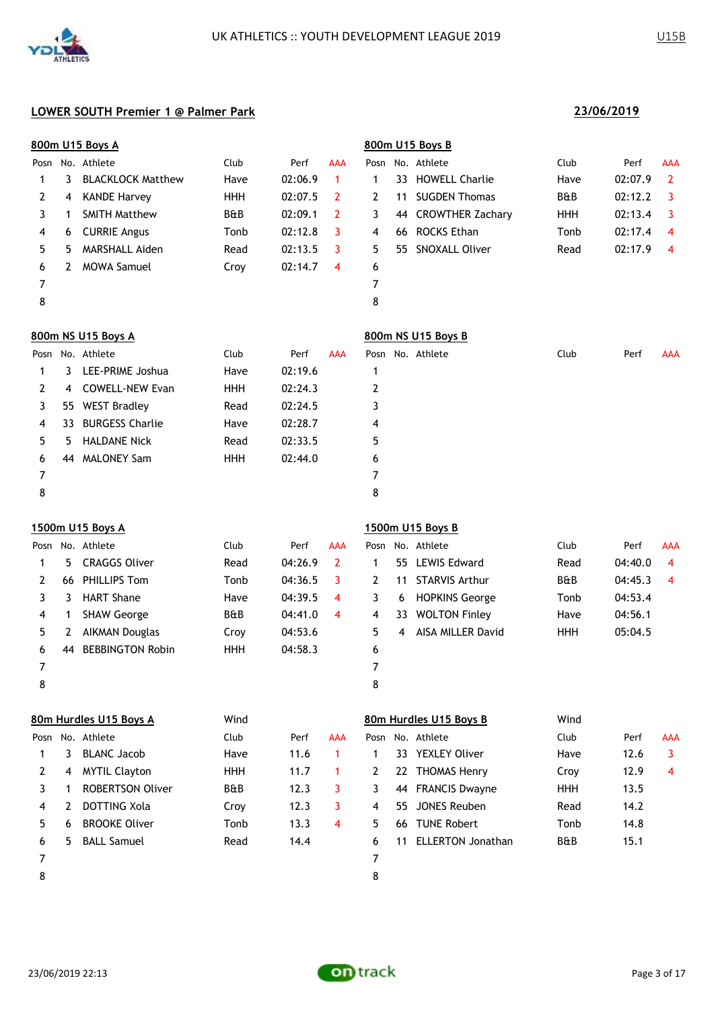

|      | 800m U15 Boys A |                          |            |         | 800m U15 Boys B      |                |    |                         |                |         |                |
|------|-----------------|--------------------------|------------|---------|----------------------|----------------|----|-------------------------|----------------|---------|----------------|
| Posn |                 | No. Athlete              | Club       | Perf    | <b>AAA</b>           |                |    | Posn No. Athlete        | Club           | Perf    | AAA            |
| 1    | 3               | <b>BLACKLOCK Matthew</b> | Have       | 02:06.9 | $\blacktriangleleft$ | 1              | 33 | <b>HOWELL Charlie</b>   | Have           | 02:07.9 | $\overline{2}$ |
| 2    | 4               | <b>KANDE Harvey</b>      | <b>HHH</b> | 02:07.5 | $\overline{2}$       | $\overline{2}$ | 11 | <b>SUGDEN Thomas</b>    | <b>B&amp;B</b> | 02:12.2 | 3              |
| 3    | 1               | <b>SMITH Matthew</b>     | B&B        | 02:09.1 | $\overline{2}$       | 3              | 44 | <b>CROWTHER Zachary</b> | HHH            | 02:13.4 | 3              |
| 4    | 6               | <b>CURRIE Angus</b>      | Tonb       | 02:12.8 | 3                    | 4              | 66 | ROCKS Ethan             | Tonb           | 02:17.4 | $\overline{4}$ |
| 5    | 5               | MARSHALL Aiden           | Read       | 02:13.5 | 3                    | 5.             | 55 | SNOXALL Oliver          | Read           | 02:17.9 | $\overline{4}$ |
| 6    | $\mathbf{2}$    | <b>MOWA Samuel</b>       | Croy       | 02:14.7 | $\overline{4}$       | 6              |    |                         |                |         |                |
| 7    |                 |                          |            |         |                      | 7              |    |                         |                |         |                |
| 8    |                 |                          |            |         |                      | 8              |    |                         |                |         |                |
|      |                 | 800m NS U15 Boys A       |            |         |                      |                |    | 800m NS U15 Boys B      |                |         |                |
| Posn |                 | No. Athlete              | Club       | Perf    | <b>AAA</b>           |                |    | Posn No. Athlete        | Club           | Perf    | AAA            |
| 1    | 3               | LEE-PRIME Joshua         | Have       | 02:19.6 |                      | $\mathbf{1}$   |    |                         |                |         |                |
| 2    | 4               | <b>COWELL-NEW Evan</b>   | <b>HHH</b> | 02:24.3 |                      | 2              |    |                         |                |         |                |
| 3    | 55              | <b>WEST Bradley</b>      | Read       | 02:24.5 |                      | 3              |    |                         |                |         |                |
| 4    | 33              | <b>BURGESS Charlie</b>   | Have       | 02:28.7 |                      | 4              |    |                         |                |         |                |
| 5    | 5               | <b>HALDANE Nick</b>      | Read       | 02:33.5 |                      | 5              |    |                         |                |         |                |
| 6    | 44              | <b>MALONEY Sam</b>       | <b>HHH</b> | 02:44.0 |                      | 6              |    |                         |                |         |                |
| 7    |                 |                          |            |         |                      | 7              |    |                         |                |         |                |
| 8    |                 |                          |            |         |                      | 8              |    |                         |                |         |                |
|      |                 |                          |            |         |                      |                |    |                         |                |         |                |

### **1500m U15 Boys A 1500m U15 Boys B**

| Posn |    | No. Athlete             | Club           | Perf    | <b>AAA</b>              |   |    | Posn No. Athlete      | Club           | Perf    | <b>AAA</b> |
|------|----|-------------------------|----------------|---------|-------------------------|---|----|-----------------------|----------------|---------|------------|
|      | 5. | <b>CRAGGS Oliver</b>    | Read           | 04:26.9 |                         |   |    | 55 LEWIS Edward       | Read           | 04:40.0 | 4          |
|      |    | 66 PHILLIPS Tom         | Tonb           | 04:36.5 |                         |   | 11 | <b>STARVIS Arthur</b> | <b>B&amp;B</b> | 04:45.3 | -4         |
|      |    | <b>HART Shane</b>       | Have           | 04:39.5 | $\overline{\mathbf{4}}$ |   | 6  | <b>HOPKINS George</b> | Tonb           | 04:53.4 |            |
| 4    |    | <b>SHAW George</b>      | <b>B&amp;B</b> | 04:41.0 | 4                       | 4 | 33 | <b>WOLTON Finley</b>  | Have           | 04:56.1 |            |
| 5.   |    | AIKMAN Douglas          | Croy           | 04:53.6 |                         | 5 | 4  | AISA MILLER David     | <b>HHH</b>     | 05:04.5 |            |
| 6    | 44 | <b>BEBBINGTON Robin</b> | <b>HHH</b>     | 04:58.3 |                         | 6 |    |                       |                |         |            |
| 7    |    |                         |                |         |                         |   |    |                       |                |         |            |
| 8    |    |                         |                |         |                         | 8 |    |                       |                |         |            |
|      |    |                         |                |         |                         |   |    |                       |                |         |            |

|      |    | 80m Hurdles U15 Boys A  | Wind           |      |            |    |     | 80m Hurdles U15 Boys B   | Wind           |      |            |
|------|----|-------------------------|----------------|------|------------|----|-----|--------------------------|----------------|------|------------|
| Posn |    | No. Athlete             | Club           | Perf | <b>AAA</b> |    |     | Posn No. Athlete         | Club           | Perf | <b>AAA</b> |
|      | 3. | <b>BLANC Jacob</b>      | Have           | 11.6 |            |    |     | 33 YEXLEY Oliver         | Have           | 12.6 |            |
|      | 4  | <b>MYTIL Clayton</b>    | HHH            | 11.7 |            | 2  |     | 22 THOMAS Henry          | Croy           | 12.9 | 4          |
|      |    | <b>ROBERTSON Oliver</b> | <b>B&amp;B</b> | 12.3 | 3.         | 3  |     | 44 FRANCIS Dwayne        | <b>HHH</b>     | 13.5 |            |
| 4    |    | DOTTING Xola            | Croy           | 12.3 | 3          | 4  | 55. | JONES Reuben             | Read           | 14.2 |            |
| 5.   | 6  | <b>BROOKE Oliver</b>    | Tonb           | 13.3 | 4          | 5. | 66  | <b>TUNE Robert</b>       | Tonb           | 14.8 |            |
| 6    | 5. | <b>BALL Samuel</b>      | Read           | 14.4 |            | 6  | 11  | <b>ELLERTON Jonathan</b> | <b>B&amp;B</b> | 15.1 |            |
|      |    |                         |                |      |            |    |     |                          |                |      |            |
| 8    |    |                         |                |      |            | 8  |     |                          |                |      |            |
|      |    |                         |                |      |            |    |     |                          |                |      |            |

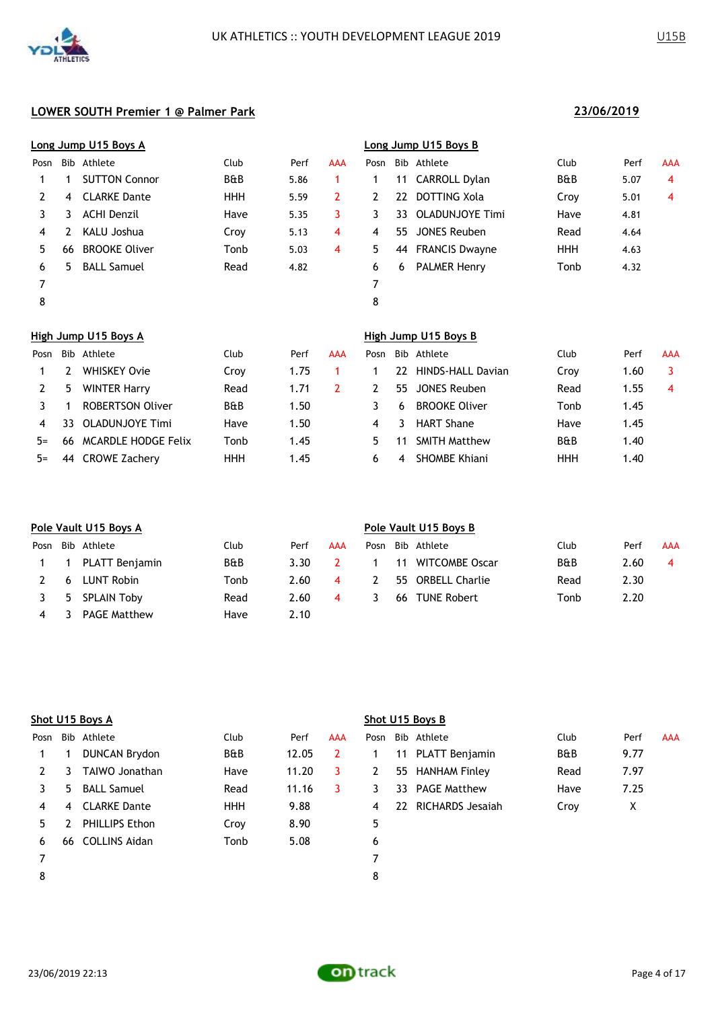

|      |                      | Long Jump U15 Boys A |                |      |     | Long Jump U15 Boys B |    |                       |                |      |            |  |  |
|------|----------------------|----------------------|----------------|------|-----|----------------------|----|-----------------------|----------------|------|------------|--|--|
| Posn |                      | Bib Athlete          | Club           | Perf | AAA | Posn                 |    | Bib Athlete           | Club           | Perf | <b>AAA</b> |  |  |
|      |                      | <b>SUTTON Connor</b> | <b>B&amp;B</b> | 5.86 | 1.  |                      | 11 | CARROLL Dylan         | <b>B&amp;B</b> | 5.07 | 4          |  |  |
| 2    | 4                    | <b>CLARKE Dante</b>  | <b>HHH</b>     | 5.59 | 2   | 2                    |    | 22 DOTTING Xola       | Croy           | 5.01 | 4          |  |  |
| 3    | 3                    | <b>ACHI Denzil</b>   | Have           | 5.35 | 3   | 3                    | 33 | OLADUNJOYE Timi       | Have           | 4.81 |            |  |  |
| 4    | 2                    | KALU Joshua          | Croy           | 5.13 | 4   | 4                    | 55 | JONES Reuben          | Read           | 4.64 |            |  |  |
| 5.   | 66                   | <b>BROOKE Oliver</b> | Tonb           | 5.03 | 4   | 5                    | 44 | <b>FRANCIS Dwayne</b> | <b>HHH</b>     | 4.63 |            |  |  |
| 6    | 5.                   | <b>BALL Samuel</b>   | Read           | 4.82 |     | 6                    | 6  | <b>PALMER Henry</b>   | Tonb           | 4.32 |            |  |  |
| 7    |                      |                      |                |      |     | 7                    |    |                       |                |      |            |  |  |
| 8    |                      |                      |                |      |     | 8                    |    |                       |                |      |            |  |  |
|      | High Jump U15 Boys A |                      |                |      |     | High Jump U15 Boys B |    |                       |                |      |            |  |  |

| Posn  |     | Bib Athlete             | Club           | Perf | AAA | Posn |    | Bib Athlete          | Club           | Perf | <b>AAA</b> |
|-------|-----|-------------------------|----------------|------|-----|------|----|----------------------|----------------|------|------------|
|       |     | WHISKEY Ovie            | Croy           | 1.75 |     |      | 22 | HINDS-HALL Davian    | Crov           | 1.60 | 3          |
|       | ל   | <b>WINTER Harry</b>     | Read           | 1.71 |     |      | 55 | JONES Reuben         | Read           | 1.55 | 4          |
|       |     | <b>ROBERTSON Oliver</b> | <b>B&amp;B</b> | 1.50 |     |      | 6  | <b>BROOKE Oliver</b> | Tonb           | 1.45 |            |
| 4     | 33. | OLADUNJOYE Timi         | Have           | 1.50 |     | 4    | 3. | <b>HART Shane</b>    | Have           | 1.45 |            |
| $5 =$ |     | 66 MCARDLE HODGE Felix  | Tonb           | 1.45 |     | 5.   |    | <b>SMITH Matthew</b> | <b>B&amp;B</b> | 1.40 |            |
| $5=$  |     | 44 CROWE Zachery        | ннн            | 1.45 |     | 6.   | 4  | <b>SHOMBE Khiani</b> | HHH            | 1.40 |            |

| Pole Vault U15 Boys A |                     |                                                     |      |            |      | Pole Vault U15 Boys B |  |                                                                      |      |            |  |  |  |
|-----------------------|---------------------|-----------------------------------------------------|------|------------|------|-----------------------|--|----------------------------------------------------------------------|------|------------|--|--|--|
|                       |                     | Club                                                | Perf | <b>AAA</b> | Posn |                       |  | Club                                                                 | Perf | <b>AAA</b> |  |  |  |
|                       |                     | <b>B&amp;B</b>                                      | 3.30 |            |      |                       |  | <b>B&amp;B</b>                                                       | 2.60 | 4          |  |  |  |
| 6                     | LUNT Robin          | Tonb                                                | 2.60 | 4          | 2    |                       |  | Read                                                                 | 2.30 |            |  |  |  |
|                       |                     | Read                                                | 2.60 | 4          |      | 66                    |  | Tonb                                                                 | 2.20 |            |  |  |  |
|                       | <b>PAGE Matthew</b> | Have                                                | 2.10 |            |      |                       |  |                                                                      |      |            |  |  |  |
|                       | $\blacksquare$      | Posn Bib Athlete<br>PLATT Benjamin<br>5 SPLAIN Toby |      |            |      |                       |  | Bib Athlete<br>11 WITCOMBE Oscar<br>55 ORBELL Charlie<br>TUNE Robert |      |            |  |  |  |

|      |                | Shot U15 Boys A      |            |       |                |      |    | Shot U15 Boys B     |      |      |            |
|------|----------------|----------------------|------------|-------|----------------|------|----|---------------------|------|------|------------|
| Posn |                | Bib Athlete          | Club       | Perf  | <b>AAA</b>     | Posn |    | Bib Athlete         | Club | Perf | <b>AAA</b> |
|      |                | <b>DUNCAN Brydon</b> | B&B        | 12.05 | $\overline{2}$ |      | 11 | PLATT Benjamin      | B&B  | 9.77 |            |
|      | 3.             | TAIWO Jonathan       | Have       | 11.20 | 3              | 2    |    | 55 HANHAM Finley    | Read | 7.97 |            |
| 3.   | 5.             | <b>BALL Samuel</b>   | Read       | 11.16 | 3.             | 3    |    | 33 PAGE Matthew     | Have | 7.25 |            |
| 4    | $\overline{4}$ | <b>CLARKE Dante</b>  | <b>HHH</b> | 9.88  |                | 4    |    | 22 RICHARDS Jesajah | Croy | X    |            |
| 5.   |                | PHILLIPS Ethon       | Croy       | 8.90  |                | 5    |    |                     |      |      |            |
| 6    | 66             | <b>COLLINS Aidan</b> | Tonb       | 5.08  |                | 6    |    |                     |      |      |            |
|      |                |                      |            |       |                |      |    |                     |      |      |            |
| 8    |                |                      |            |       |                | 8    |    |                     |      |      |            |
|      |                |                      |            |       |                |      |    |                     |      |      |            |

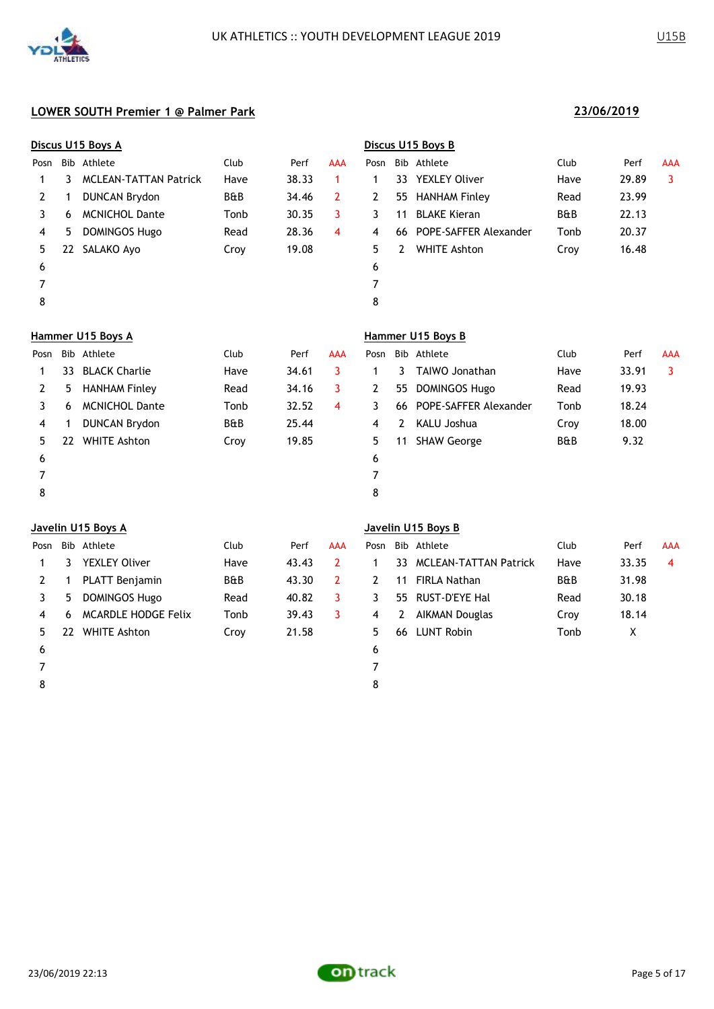

| Discus U15 Boys A |                              |                                                 |       |                | Discus U15 Boys B |     |                       |                                         |       |            |
|-------------------|------------------------------|-------------------------------------------------|-------|----------------|-------------------|-----|-----------------------|-----------------------------------------|-------|------------|
|                   |                              | Club                                            | Perf  | <b>AAA</b>     | Posn              |     |                       | Club                                    | Perf  | <b>AAA</b> |
| ٦                 | <b>MCLEAN-TATTAN Patrick</b> | Have                                            | 38.33 | 1              | 1                 | 33. | <b>YEXLEY Oliver</b>  | Have                                    | 29.89 | 3          |
| 1                 | <b>DUNCAN Brydon</b>         | B&B                                             | 34.46 | $\overline{2}$ | $\mathbf{2}$      | 55  | <b>HANHAM Finley</b>  | Read                                    | 23.99 |            |
| 6                 | <b>MCNICHOL Dante</b>        | Tonb                                            | 30.35 | 3              | 3                 | 11  | <b>BLAKE Kieran</b>   | <b>B&amp;B</b>                          | 22.13 |            |
| 5.                | <b>DOMINGOS Hugo</b>         | Read                                            | 28.36 | 4              | 4                 | 66  | POPE-SAFFER Alexander | Tonb                                    | 20.37 |            |
| 22                | SALAKO Ayo                   | Croy                                            | 19.08 |                | 5.                | 2   | <b>WHITE Ashton</b>   | Croy                                    | 16.48 |            |
|                   |                              |                                                 |       |                | 6                 |     |                       |                                         |       |            |
|                   |                              |                                                 |       |                | 7                 |     |                       |                                         |       |            |
|                   |                              |                                                 |       |                | 8                 |     |                       |                                         |       |            |
|                   |                              |                                                 |       |                |                   |     |                       |                                         |       |            |
|                   |                              | Club                                            | Perf  | <b>AAA</b>     | Posn              |     | Athlete               | Club                                    | Perf  | <b>AAA</b> |
| 33                | <b>BLACK Charlie</b>         | Have                                            | 34.61 | 3              | 1                 | 3.  | TAIWO Jonathan        | Have                                    | 33.91 | 3          |
| 5.                | <b>HANHAM Finley</b>         | Read                                            | 34.16 | 3              | 2                 | 55  | <b>DOMINGOS Hugo</b>  | Read                                    | 19.93 |            |
|                   |                              | Bib Athlete<br>Hammer U15 Boys A<br>Bib Athlete |       |                |                   |     |                       | Bib Athlete<br>Hammer U15 Boys B<br>Bib |       |            |

|    | C. | <b>HANHAM FINIEV</b>  | kead           | 34.16 |   |   |    | 55 DUMINGUS HUGO         | Read | 19.93 |
|----|----|-----------------------|----------------|-------|---|---|----|--------------------------|------|-------|
|    | 6  | <b>MCNICHOL Dante</b> | Tonb           | 32.52 | 4 |   |    | 66 POPE-SAFFER Alexander | Tonb | 18.24 |
| 4  |    | <b>DUNCAN Brydon</b>  | <b>B&amp;B</b> | 25.44 |   |   | 2  | KALU Joshua              | Croy | 18.00 |
| 5. | 22 | <b>WHITE Ashton</b>   | Croy           | 19.85 |   |   | 11 | SHAW George              | B&B  | 9.32  |
| 6  |    |                       |                |       |   | 6 |    |                          |      |       |
|    |    |                       |                |       |   |   |    |                          |      |       |
|    |    |                       |                |       |   | 8 |    |                          |      |       |
|    |    |                       |                |       |   |   |    |                          |      |       |

| Posn |    | Bib Athlete                | Club           | Perf  | AAA |    |    | Posn Bib Athlete         | Club           | Perf  |
|------|----|----------------------------|----------------|-------|-----|----|----|--------------------------|----------------|-------|
|      | 3. | <b>YEXLEY Oliver</b>       | Have           | 43.43 |     |    |    | 33 MCLEAN-TATTAN Patrick | Have           | 33.35 |
|      |    | <b>PLATT Benjamin</b>      | <b>B&amp;B</b> | 43.30 |     | 2  | 11 | FIRLA Nathan             | <b>B&amp;B</b> | 31.98 |
|      | 5  | <b>DOMINGOS Hugo</b>       | Read           | 40.82 |     | 3. |    | 55 RUST-D'EYE Hal        | Read           | 30.18 |
|      | 6  | <b>MCARDLE HODGE Felix</b> | Tonb           | 39.43 |     | 4  | 2  | AIKMAN Douglas           | Croy           | 18.14 |
|      |    | 22 WHITE Ashton            | Croy           | 21.58 |     | 5. | 66 | LUNT Robin               | Tonb           | X     |
| 6    |    |                            |                |       |     |    |    |                          |                |       |

8

### **Javelin U15 Boys A Javelin U15 Boys B**

| Posn         |    | Bib Athlete          | Club           | Perf  | AAA | Posn |              | Bib Athlete              | Club           | Perf  | <b>AAA</b> |
|--------------|----|----------------------|----------------|-------|-----|------|--------------|--------------------------|----------------|-------|------------|
|              | 3  | <b>YEXLEY Oliver</b> | Have           | 43.43 |     |      |              | 33 MCLEAN-TATTAN Patrick | Have           | 33.35 | 4          |
| 2            |    | PLATT Benjamin       | <b>B&amp;B</b> | 43.30 |     |      | 11           | FIRLA Nathan             | <b>B&amp;B</b> | 31.98 |            |
| <sup>3</sup> | 5  | <b>DOMINGOS Hugo</b> | Read           | 40.82 |     | 3.   |              | 55 RUST-D'EYE Hal        | Read           | 30.18 |            |
| 4            | 6  | MCARDLE HODGE Felix  | Tonb           | 39.43 |     | 4    | <sup>2</sup> | AIKMAN Douglas           | Croy           | 18.14 |            |
| 5.           | 22 | <b>WHITE Ashton</b>  | Croy           | 21.58 |     | 5.   | 66           | LUNT Robin               | Tonb           | X.    |            |
|              |    |                      |                |       |     |      |              |                          |                |       |            |

7

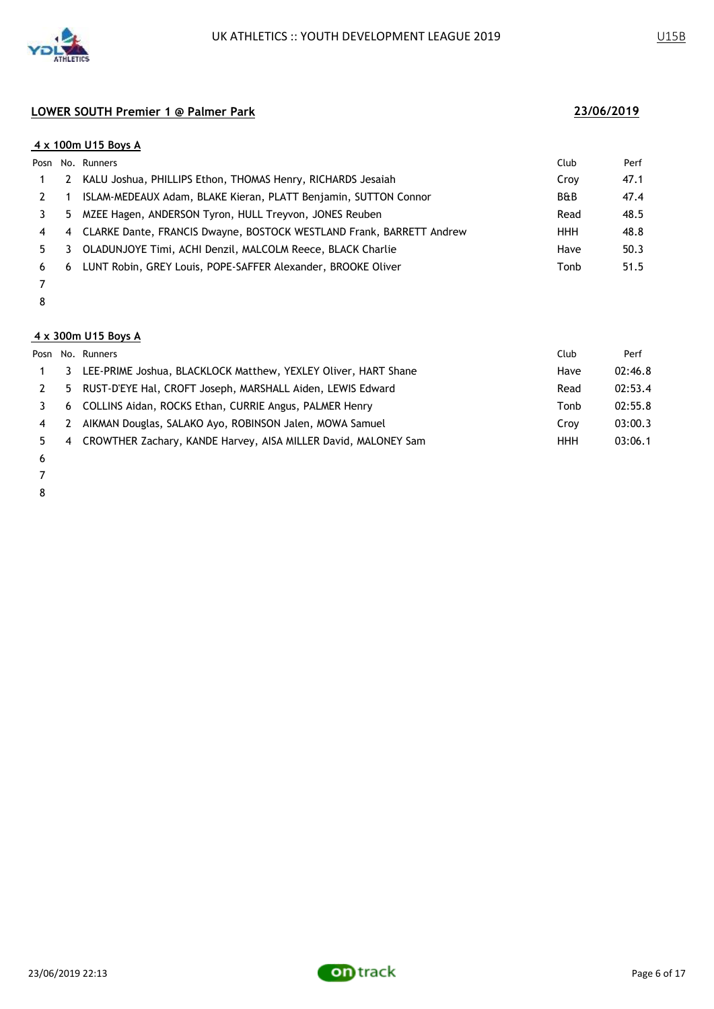

|    |    | 4 x 100m U15 Boys A                                                  |                |      |
|----|----|----------------------------------------------------------------------|----------------|------|
|    |    | Posn No. Runners                                                     | Club           | Perf |
|    | 2  | KALU Joshua, PHILLIPS Ethon, THOMAS Henry, RICHARDS Jesaiah          | Croy           | 47.1 |
|    |    | ISLAM-MEDEAUX Adam, BLAKE Kieran, PLATT Benjamin, SUTTON Connor      | <b>B&amp;B</b> | 47.4 |
|    | 5. | MZEE Hagen, ANDERSON Tyron, HULL Treyvon, JONES Reuben               | Read           | 48.5 |
| 4  | 4  | CLARKE Dante, FRANCIS Dwayne, BOSTOCK WESTLAND Frank, BARRETT Andrew | <b>HHH</b>     | 48.8 |
| 5. |    | OLADUNJOYE Timi, ACHI Denzil, MALCOLM Reece, BLACK Charlie           | Have           | 50.3 |
| 6  | 6  | LUNT Robin, GREY Louis, POPE-SAFFER Alexander, BROOKE Oliver         | Tonb           | 51.5 |
|    |    |                                                                      |                |      |

### 

### **4 x 300m U15 Boys A**

|    |    | Posn No. Runners                                                 | Club       | Perf    |
|----|----|------------------------------------------------------------------|------------|---------|
|    | 3  | LEE-PRIME Joshua, BLACKLOCK Matthew, YEXLEY Oliver, HART Shane   | Have       | 02:46.8 |
|    |    | 5 RUST-D'EYE Hal, CROFT Joseph, MARSHALL Aiden, LEWIS Edward     | Read       | 02:53.4 |
|    |    | 6 COLLINS Aidan, ROCKS Ethan, CURRIE Angus, PALMER Henry         | Tonb       | 02:55.8 |
| 4  | -2 | AIKMAN Douglas, SALAKO Ayo, ROBINSON Jalen, MOWA Samuel          | Crov       | 03:00.3 |
| 5. |    | 4 CROWTHER Zachary, KANDE Harvey, AISA MILLER David, MALONEY Sam | <b>HHH</b> | 03:06.1 |
|    |    |                                                                  |            |         |

- 
- 
- 

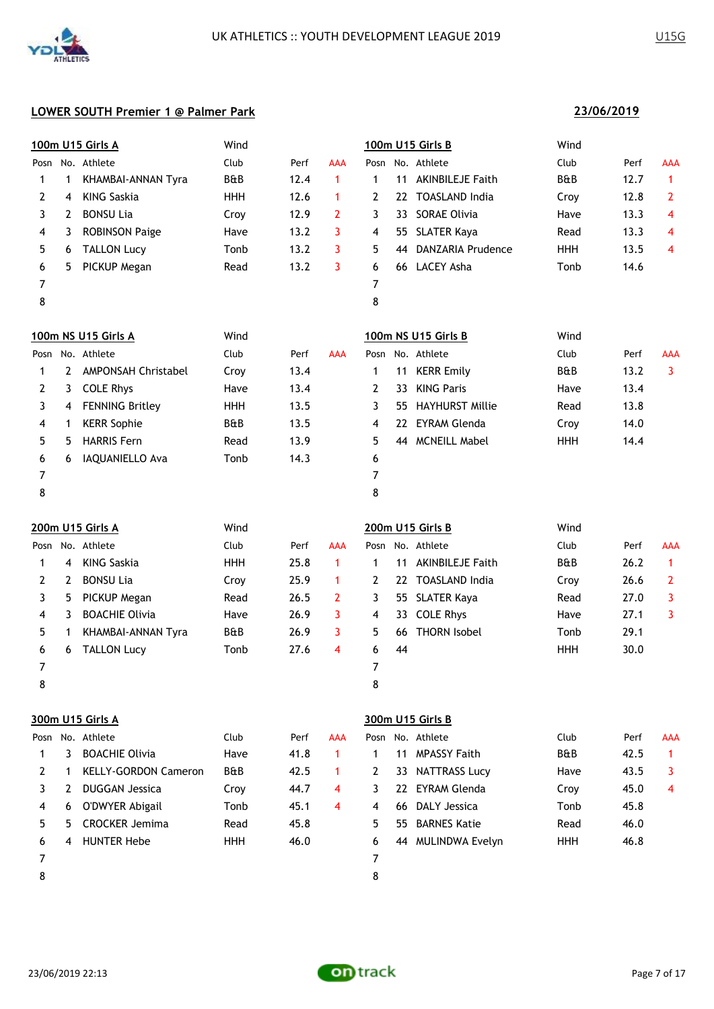

**23/06/2019**

| Club<br>Club<br>No. Athlete<br>No. Athlete<br>Perf<br>AAA<br>Posn<br>Perf<br>AAA<br>Posn<br>B&B<br><b>B&amp;B</b><br>12.7<br>KHAMBAI-ANNAN Tyra<br>12.4<br>$\mathbf{1}$<br><b>AKINBILEJE Faith</b><br>$\mathbf 1$<br>11<br>$\mathbf{1}$<br>1<br>1<br>12.6<br>22 TOASLAND India<br><b>KING Saskia</b><br><b>HHH</b><br>12.8<br>$\mathbf{2}$<br>2<br>$\mathbf 1$<br>2<br>Croy<br>4<br><b>SORAE Olivia</b><br>3<br><b>BONSU Lia</b><br>Croy<br>12.9<br>$\overline{2}$<br>3<br>13.3<br>4<br>2<br>33<br>Have<br><b>ROBINSON Paige</b><br>13.2<br>3<br><b>SLATER Kaya</b><br>13.3<br>4<br>4<br>3<br>Have<br>4<br>55<br>Read<br>3<br><b>DANZARIA Prudence</b><br>5<br><b>TALLON Lucy</b><br>Tonb<br>13.2<br>5<br>HHH<br>13.5<br>4<br>6<br>44<br>13.2<br>66 LACEY Asha<br>14.6<br>PICKUP Megan<br>3<br>Tonb<br>6<br>5<br>Read<br>6<br>7<br>7<br>8<br>8<br>100m NS U15 Girls A<br>Wind<br>100m NS U15 Girls B<br>Wind<br>No. Athlete<br>No. Athlete<br>Club<br>Club<br>Perf<br>AAA<br>Posn<br>Perf<br>AAA<br>Posn<br>13.4<br>13.2<br>$\overline{2}$<br>AMPONSAH Christabel<br><b>KERR Emily</b><br>B&B<br>3<br>Croy<br>1<br>11<br>1<br><b>KING Paris</b><br>2<br><b>COLE Rhys</b><br>13.4<br>$\mathbf{2}$<br>13.4<br>3<br>Have<br>33<br>Have<br>3<br><b>FENNING Britley</b><br><b>HHH</b><br>13.5<br>3<br><b>HAYHURST Millie</b><br>13.8<br>55<br>Read<br>4<br>B&B<br>13.5<br><b>EYRAM Glenda</b><br>14.0<br><b>KERR Sophie</b><br>4<br>4<br>Croy<br>1<br>22.<br><b>HARRIS Fern</b><br>13.9<br>5<br>44 MCNEILL Mabel<br>5<br><b>HHH</b><br>14.4<br>5<br>Read<br>14.3<br>6<br>IAQUANIELLO Ava<br>Tonb<br>6<br>6<br>7<br>7<br>8<br>8<br>200m U15 Girls A<br>Wind<br>200m U15 Girls B<br>Wind<br>Posn No. Athlete<br>Club<br><b>AAA</b><br>Posn No. Athlete<br>Club<br>Perf<br>Perf<br>AAA<br><b>KING Saskia</b><br><b>HHH</b><br>25.8<br>$\mathbf{1}$<br>B&B<br>26.2<br><b>AKINBILEJE Faith</b><br>$\mathbf{1}$<br>$\mathbf{1}$<br>11<br>1<br>4<br><b>BONSU Lia</b><br><b>TOASLAND India</b><br>2<br>25.9<br>26.6<br>2<br>2<br>Croy<br>$\mathbf 1$<br>2<br>22<br>Croy<br>3<br>PICKUP Megan<br>26.5<br><b>SLATER Kaya</b><br>27.0<br>3<br>5<br>Read<br>$\mathbf{2}$<br>3<br>Read<br>55<br><b>BOACHIE Olivia</b><br>26.9<br>3<br><b>COLE Rhys</b><br>27.1<br>3<br>4<br>3<br>Have<br>4<br>33<br>Have<br><b>THORN Isobel</b><br>KHAMBAI-ANNAN Tyra<br>B&B<br>26.9<br>5<br>29.1<br>5<br>3<br>Tonb<br>1<br>66<br>30.0<br>6<br><b>TALLON Lucy</b><br>Tonb<br>27.6<br>6<br>44<br><b>HHH</b><br>4<br>6<br>7<br>7<br>8<br>8<br>300m U15 Girls A<br>300m U15 Girls B<br>Posn No. Athlete<br>Club<br>Posn No. Athlete<br>Club<br>Perf<br>AAA<br>Perf<br>AAA<br><b>BOACHIE Olivia</b><br>B&B<br>3<br>Have<br>41.8<br>11 MPASSY Faith<br>42.5<br>1<br>$\mathbf{1}$<br>1<br>1<br><b>B&amp;B</b><br><b>KELLY-GORDON Cameron</b><br>42.5<br><b>NATTRASS Lucy</b><br>43.5<br>3<br>2<br>1<br>2<br>33<br>Have<br>1 |  | 100m U15 Girls A | Wind |  |  | 100m U15 Girls B | Wind |  |
|-------------------------------------------------------------------------------------------------------------------------------------------------------------------------------------------------------------------------------------------------------------------------------------------------------------------------------------------------------------------------------------------------------------------------------------------------------------------------------------------------------------------------------------------------------------------------------------------------------------------------------------------------------------------------------------------------------------------------------------------------------------------------------------------------------------------------------------------------------------------------------------------------------------------------------------------------------------------------------------------------------------------------------------------------------------------------------------------------------------------------------------------------------------------------------------------------------------------------------------------------------------------------------------------------------------------------------------------------------------------------------------------------------------------------------------------------------------------------------------------------------------------------------------------------------------------------------------------------------------------------------------------------------------------------------------------------------------------------------------------------------------------------------------------------------------------------------------------------------------------------------------------------------------------------------------------------------------------------------------------------------------------------------------------------------------------------------------------------------------------------------------------------------------------------------------------------------------------------------------------------------------------------------------------------------------------------------------------------------------------------------------------------------------------------------------------------------------------------------------------------------------------------------------------------------------------------------------------------------------------------------------------------------------------------------------------------------------------------------------------------------------------------------------------------------------------------------------------------------------------------------------|--|------------------|------|--|--|------------------|------|--|
|                                                                                                                                                                                                                                                                                                                                                                                                                                                                                                                                                                                                                                                                                                                                                                                                                                                                                                                                                                                                                                                                                                                                                                                                                                                                                                                                                                                                                                                                                                                                                                                                                                                                                                                                                                                                                                                                                                                                                                                                                                                                                                                                                                                                                                                                                                                                                                                                                                                                                                                                                                                                                                                                                                                                                                                                                                                                                     |  |                  |      |  |  |                  |      |  |
|                                                                                                                                                                                                                                                                                                                                                                                                                                                                                                                                                                                                                                                                                                                                                                                                                                                                                                                                                                                                                                                                                                                                                                                                                                                                                                                                                                                                                                                                                                                                                                                                                                                                                                                                                                                                                                                                                                                                                                                                                                                                                                                                                                                                                                                                                                                                                                                                                                                                                                                                                                                                                                                                                                                                                                                                                                                                                     |  |                  |      |  |  |                  |      |  |
|                                                                                                                                                                                                                                                                                                                                                                                                                                                                                                                                                                                                                                                                                                                                                                                                                                                                                                                                                                                                                                                                                                                                                                                                                                                                                                                                                                                                                                                                                                                                                                                                                                                                                                                                                                                                                                                                                                                                                                                                                                                                                                                                                                                                                                                                                                                                                                                                                                                                                                                                                                                                                                                                                                                                                                                                                                                                                     |  |                  |      |  |  |                  |      |  |
|                                                                                                                                                                                                                                                                                                                                                                                                                                                                                                                                                                                                                                                                                                                                                                                                                                                                                                                                                                                                                                                                                                                                                                                                                                                                                                                                                                                                                                                                                                                                                                                                                                                                                                                                                                                                                                                                                                                                                                                                                                                                                                                                                                                                                                                                                                                                                                                                                                                                                                                                                                                                                                                                                                                                                                                                                                                                                     |  |                  |      |  |  |                  |      |  |
|                                                                                                                                                                                                                                                                                                                                                                                                                                                                                                                                                                                                                                                                                                                                                                                                                                                                                                                                                                                                                                                                                                                                                                                                                                                                                                                                                                                                                                                                                                                                                                                                                                                                                                                                                                                                                                                                                                                                                                                                                                                                                                                                                                                                                                                                                                                                                                                                                                                                                                                                                                                                                                                                                                                                                                                                                                                                                     |  |                  |      |  |  |                  |      |  |
|                                                                                                                                                                                                                                                                                                                                                                                                                                                                                                                                                                                                                                                                                                                                                                                                                                                                                                                                                                                                                                                                                                                                                                                                                                                                                                                                                                                                                                                                                                                                                                                                                                                                                                                                                                                                                                                                                                                                                                                                                                                                                                                                                                                                                                                                                                                                                                                                                                                                                                                                                                                                                                                                                                                                                                                                                                                                                     |  |                  |      |  |  |                  |      |  |
|                                                                                                                                                                                                                                                                                                                                                                                                                                                                                                                                                                                                                                                                                                                                                                                                                                                                                                                                                                                                                                                                                                                                                                                                                                                                                                                                                                                                                                                                                                                                                                                                                                                                                                                                                                                                                                                                                                                                                                                                                                                                                                                                                                                                                                                                                                                                                                                                                                                                                                                                                                                                                                                                                                                                                                                                                                                                                     |  |                  |      |  |  |                  |      |  |
|                                                                                                                                                                                                                                                                                                                                                                                                                                                                                                                                                                                                                                                                                                                                                                                                                                                                                                                                                                                                                                                                                                                                                                                                                                                                                                                                                                                                                                                                                                                                                                                                                                                                                                                                                                                                                                                                                                                                                                                                                                                                                                                                                                                                                                                                                                                                                                                                                                                                                                                                                                                                                                                                                                                                                                                                                                                                                     |  |                  |      |  |  |                  |      |  |
|                                                                                                                                                                                                                                                                                                                                                                                                                                                                                                                                                                                                                                                                                                                                                                                                                                                                                                                                                                                                                                                                                                                                                                                                                                                                                                                                                                                                                                                                                                                                                                                                                                                                                                                                                                                                                                                                                                                                                                                                                                                                                                                                                                                                                                                                                                                                                                                                                                                                                                                                                                                                                                                                                                                                                                                                                                                                                     |  |                  |      |  |  |                  |      |  |
|                                                                                                                                                                                                                                                                                                                                                                                                                                                                                                                                                                                                                                                                                                                                                                                                                                                                                                                                                                                                                                                                                                                                                                                                                                                                                                                                                                                                                                                                                                                                                                                                                                                                                                                                                                                                                                                                                                                                                                                                                                                                                                                                                                                                                                                                                                                                                                                                                                                                                                                                                                                                                                                                                                                                                                                                                                                                                     |  |                  |      |  |  |                  |      |  |
|                                                                                                                                                                                                                                                                                                                                                                                                                                                                                                                                                                                                                                                                                                                                                                                                                                                                                                                                                                                                                                                                                                                                                                                                                                                                                                                                                                                                                                                                                                                                                                                                                                                                                                                                                                                                                                                                                                                                                                                                                                                                                                                                                                                                                                                                                                                                                                                                                                                                                                                                                                                                                                                                                                                                                                                                                                                                                     |  |                  |      |  |  |                  |      |  |
|                                                                                                                                                                                                                                                                                                                                                                                                                                                                                                                                                                                                                                                                                                                                                                                                                                                                                                                                                                                                                                                                                                                                                                                                                                                                                                                                                                                                                                                                                                                                                                                                                                                                                                                                                                                                                                                                                                                                                                                                                                                                                                                                                                                                                                                                                                                                                                                                                                                                                                                                                                                                                                                                                                                                                                                                                                                                                     |  |                  |      |  |  |                  |      |  |
|                                                                                                                                                                                                                                                                                                                                                                                                                                                                                                                                                                                                                                                                                                                                                                                                                                                                                                                                                                                                                                                                                                                                                                                                                                                                                                                                                                                                                                                                                                                                                                                                                                                                                                                                                                                                                                                                                                                                                                                                                                                                                                                                                                                                                                                                                                                                                                                                                                                                                                                                                                                                                                                                                                                                                                                                                                                                                     |  |                  |      |  |  |                  |      |  |
|                                                                                                                                                                                                                                                                                                                                                                                                                                                                                                                                                                                                                                                                                                                                                                                                                                                                                                                                                                                                                                                                                                                                                                                                                                                                                                                                                                                                                                                                                                                                                                                                                                                                                                                                                                                                                                                                                                                                                                                                                                                                                                                                                                                                                                                                                                                                                                                                                                                                                                                                                                                                                                                                                                                                                                                                                                                                                     |  |                  |      |  |  |                  |      |  |
|                                                                                                                                                                                                                                                                                                                                                                                                                                                                                                                                                                                                                                                                                                                                                                                                                                                                                                                                                                                                                                                                                                                                                                                                                                                                                                                                                                                                                                                                                                                                                                                                                                                                                                                                                                                                                                                                                                                                                                                                                                                                                                                                                                                                                                                                                                                                                                                                                                                                                                                                                                                                                                                                                                                                                                                                                                                                                     |  |                  |      |  |  |                  |      |  |
|                                                                                                                                                                                                                                                                                                                                                                                                                                                                                                                                                                                                                                                                                                                                                                                                                                                                                                                                                                                                                                                                                                                                                                                                                                                                                                                                                                                                                                                                                                                                                                                                                                                                                                                                                                                                                                                                                                                                                                                                                                                                                                                                                                                                                                                                                                                                                                                                                                                                                                                                                                                                                                                                                                                                                                                                                                                                                     |  |                  |      |  |  |                  |      |  |
|                                                                                                                                                                                                                                                                                                                                                                                                                                                                                                                                                                                                                                                                                                                                                                                                                                                                                                                                                                                                                                                                                                                                                                                                                                                                                                                                                                                                                                                                                                                                                                                                                                                                                                                                                                                                                                                                                                                                                                                                                                                                                                                                                                                                                                                                                                                                                                                                                                                                                                                                                                                                                                                                                                                                                                                                                                                                                     |  |                  |      |  |  |                  |      |  |
|                                                                                                                                                                                                                                                                                                                                                                                                                                                                                                                                                                                                                                                                                                                                                                                                                                                                                                                                                                                                                                                                                                                                                                                                                                                                                                                                                                                                                                                                                                                                                                                                                                                                                                                                                                                                                                                                                                                                                                                                                                                                                                                                                                                                                                                                                                                                                                                                                                                                                                                                                                                                                                                                                                                                                                                                                                                                                     |  |                  |      |  |  |                  |      |  |
|                                                                                                                                                                                                                                                                                                                                                                                                                                                                                                                                                                                                                                                                                                                                                                                                                                                                                                                                                                                                                                                                                                                                                                                                                                                                                                                                                                                                                                                                                                                                                                                                                                                                                                                                                                                                                                                                                                                                                                                                                                                                                                                                                                                                                                                                                                                                                                                                                                                                                                                                                                                                                                                                                                                                                                                                                                                                                     |  |                  |      |  |  |                  |      |  |
|                                                                                                                                                                                                                                                                                                                                                                                                                                                                                                                                                                                                                                                                                                                                                                                                                                                                                                                                                                                                                                                                                                                                                                                                                                                                                                                                                                                                                                                                                                                                                                                                                                                                                                                                                                                                                                                                                                                                                                                                                                                                                                                                                                                                                                                                                                                                                                                                                                                                                                                                                                                                                                                                                                                                                                                                                                                                                     |  |                  |      |  |  |                  |      |  |
|                                                                                                                                                                                                                                                                                                                                                                                                                                                                                                                                                                                                                                                                                                                                                                                                                                                                                                                                                                                                                                                                                                                                                                                                                                                                                                                                                                                                                                                                                                                                                                                                                                                                                                                                                                                                                                                                                                                                                                                                                                                                                                                                                                                                                                                                                                                                                                                                                                                                                                                                                                                                                                                                                                                                                                                                                                                                                     |  |                  |      |  |  |                  |      |  |
|                                                                                                                                                                                                                                                                                                                                                                                                                                                                                                                                                                                                                                                                                                                                                                                                                                                                                                                                                                                                                                                                                                                                                                                                                                                                                                                                                                                                                                                                                                                                                                                                                                                                                                                                                                                                                                                                                                                                                                                                                                                                                                                                                                                                                                                                                                                                                                                                                                                                                                                                                                                                                                                                                                                                                                                                                                                                                     |  |                  |      |  |  |                  |      |  |
|                                                                                                                                                                                                                                                                                                                                                                                                                                                                                                                                                                                                                                                                                                                                                                                                                                                                                                                                                                                                                                                                                                                                                                                                                                                                                                                                                                                                                                                                                                                                                                                                                                                                                                                                                                                                                                                                                                                                                                                                                                                                                                                                                                                                                                                                                                                                                                                                                                                                                                                                                                                                                                                                                                                                                                                                                                                                                     |  |                  |      |  |  |                  |      |  |
|                                                                                                                                                                                                                                                                                                                                                                                                                                                                                                                                                                                                                                                                                                                                                                                                                                                                                                                                                                                                                                                                                                                                                                                                                                                                                                                                                                                                                                                                                                                                                                                                                                                                                                                                                                                                                                                                                                                                                                                                                                                                                                                                                                                                                                                                                                                                                                                                                                                                                                                                                                                                                                                                                                                                                                                                                                                                                     |  |                  |      |  |  |                  |      |  |
|                                                                                                                                                                                                                                                                                                                                                                                                                                                                                                                                                                                                                                                                                                                                                                                                                                                                                                                                                                                                                                                                                                                                                                                                                                                                                                                                                                                                                                                                                                                                                                                                                                                                                                                                                                                                                                                                                                                                                                                                                                                                                                                                                                                                                                                                                                                                                                                                                                                                                                                                                                                                                                                                                                                                                                                                                                                                                     |  |                  |      |  |  |                  |      |  |
|                                                                                                                                                                                                                                                                                                                                                                                                                                                                                                                                                                                                                                                                                                                                                                                                                                                                                                                                                                                                                                                                                                                                                                                                                                                                                                                                                                                                                                                                                                                                                                                                                                                                                                                                                                                                                                                                                                                                                                                                                                                                                                                                                                                                                                                                                                                                                                                                                                                                                                                                                                                                                                                                                                                                                                                                                                                                                     |  |                  |      |  |  |                  |      |  |
|                                                                                                                                                                                                                                                                                                                                                                                                                                                                                                                                                                                                                                                                                                                                                                                                                                                                                                                                                                                                                                                                                                                                                                                                                                                                                                                                                                                                                                                                                                                                                                                                                                                                                                                                                                                                                                                                                                                                                                                                                                                                                                                                                                                                                                                                                                                                                                                                                                                                                                                                                                                                                                                                                                                                                                                                                                                                                     |  |                  |      |  |  |                  |      |  |
|                                                                                                                                                                                                                                                                                                                                                                                                                                                                                                                                                                                                                                                                                                                                                                                                                                                                                                                                                                                                                                                                                                                                                                                                                                                                                                                                                                                                                                                                                                                                                                                                                                                                                                                                                                                                                                                                                                                                                                                                                                                                                                                                                                                                                                                                                                                                                                                                                                                                                                                                                                                                                                                                                                                                                                                                                                                                                     |  |                  |      |  |  |                  |      |  |
|                                                                                                                                                                                                                                                                                                                                                                                                                                                                                                                                                                                                                                                                                                                                                                                                                                                                                                                                                                                                                                                                                                                                                                                                                                                                                                                                                                                                                                                                                                                                                                                                                                                                                                                                                                                                                                                                                                                                                                                                                                                                                                                                                                                                                                                                                                                                                                                                                                                                                                                                                                                                                                                                                                                                                                                                                                                                                     |  |                  |      |  |  |                  |      |  |
|                                                                                                                                                                                                                                                                                                                                                                                                                                                                                                                                                                                                                                                                                                                                                                                                                                                                                                                                                                                                                                                                                                                                                                                                                                                                                                                                                                                                                                                                                                                                                                                                                                                                                                                                                                                                                                                                                                                                                                                                                                                                                                                                                                                                                                                                                                                                                                                                                                                                                                                                                                                                                                                                                                                                                                                                                                                                                     |  |                  |      |  |  |                  |      |  |
|                                                                                                                                                                                                                                                                                                                                                                                                                                                                                                                                                                                                                                                                                                                                                                                                                                                                                                                                                                                                                                                                                                                                                                                                                                                                                                                                                                                                                                                                                                                                                                                                                                                                                                                                                                                                                                                                                                                                                                                                                                                                                                                                                                                                                                                                                                                                                                                                                                                                                                                                                                                                                                                                                                                                                                                                                                                                                     |  |                  |      |  |  |                  |      |  |
|                                                                                                                                                                                                                                                                                                                                                                                                                                                                                                                                                                                                                                                                                                                                                                                                                                                                                                                                                                                                                                                                                                                                                                                                                                                                                                                                                                                                                                                                                                                                                                                                                                                                                                                                                                                                                                                                                                                                                                                                                                                                                                                                                                                                                                                                                                                                                                                                                                                                                                                                                                                                                                                                                                                                                                                                                                                                                     |  |                  |      |  |  |                  |      |  |
|                                                                                                                                                                                                                                                                                                                                                                                                                                                                                                                                                                                                                                                                                                                                                                                                                                                                                                                                                                                                                                                                                                                                                                                                                                                                                                                                                                                                                                                                                                                                                                                                                                                                                                                                                                                                                                                                                                                                                                                                                                                                                                                                                                                                                                                                                                                                                                                                                                                                                                                                                                                                                                                                                                                                                                                                                                                                                     |  |                  |      |  |  |                  |      |  |
| <b>EYRAM Glenda</b><br>3<br><b>DUGGAN Jessica</b><br>44.7<br>45.0<br>2<br>Croy<br>4<br>3<br>22<br>Croy<br>4                                                                                                                                                                                                                                                                                                                                                                                                                                                                                                                                                                                                                                                                                                                                                                                                                                                                                                                                                                                                                                                                                                                                                                                                                                                                                                                                                                                                                                                                                                                                                                                                                                                                                                                                                                                                                                                                                                                                                                                                                                                                                                                                                                                                                                                                                                                                                                                                                                                                                                                                                                                                                                                                                                                                                                         |  |                  |      |  |  |                  |      |  |
| 45.1<br>45.8<br>O'DWYER Abigail<br>Tonb<br><b>DALY Jessica</b><br>Tonb<br>4<br>4<br>6<br>4<br>66.                                                                                                                                                                                                                                                                                                                                                                                                                                                                                                                                                                                                                                                                                                                                                                                                                                                                                                                                                                                                                                                                                                                                                                                                                                                                                                                                                                                                                                                                                                                                                                                                                                                                                                                                                                                                                                                                                                                                                                                                                                                                                                                                                                                                                                                                                                                                                                                                                                                                                                                                                                                                                                                                                                                                                                                   |  |                  |      |  |  |                  |      |  |
| <b>CROCKER Jemima</b><br>45.8<br>5<br>55 BARNES Katie<br>Read<br>46.0<br>5.<br>5<br>Read                                                                                                                                                                                                                                                                                                                                                                                                                                                                                                                                                                                                                                                                                                                                                                                                                                                                                                                                                                                                                                                                                                                                                                                                                                                                                                                                                                                                                                                                                                                                                                                                                                                                                                                                                                                                                                                                                                                                                                                                                                                                                                                                                                                                                                                                                                                                                                                                                                                                                                                                                                                                                                                                                                                                                                                            |  |                  |      |  |  |                  |      |  |
| <b>HUNTER Hebe</b><br><b>HHH</b><br>46.0<br>6<br>44 MULINDWA Evelyn<br><b>HHH</b><br>46.8<br>6<br>4                                                                                                                                                                                                                                                                                                                                                                                                                                                                                                                                                                                                                                                                                                                                                                                                                                                                                                                                                                                                                                                                                                                                                                                                                                                                                                                                                                                                                                                                                                                                                                                                                                                                                                                                                                                                                                                                                                                                                                                                                                                                                                                                                                                                                                                                                                                                                                                                                                                                                                                                                                                                                                                                                                                                                                                 |  |                  |      |  |  |                  |      |  |
| 7<br>7                                                                                                                                                                                                                                                                                                                                                                                                                                                                                                                                                                                                                                                                                                                                                                                                                                                                                                                                                                                                                                                                                                                                                                                                                                                                                                                                                                                                                                                                                                                                                                                                                                                                                                                                                                                                                                                                                                                                                                                                                                                                                                                                                                                                                                                                                                                                                                                                                                                                                                                                                                                                                                                                                                                                                                                                                                                                              |  |                  |      |  |  |                  |      |  |
| 8<br>8                                                                                                                                                                                                                                                                                                                                                                                                                                                                                                                                                                                                                                                                                                                                                                                                                                                                                                                                                                                                                                                                                                                                                                                                                                                                                                                                                                                                                                                                                                                                                                                                                                                                                                                                                                                                                                                                                                                                                                                                                                                                                                                                                                                                                                                                                                                                                                                                                                                                                                                                                                                                                                                                                                                                                                                                                                                                              |  |                  |      |  |  |                  |      |  |

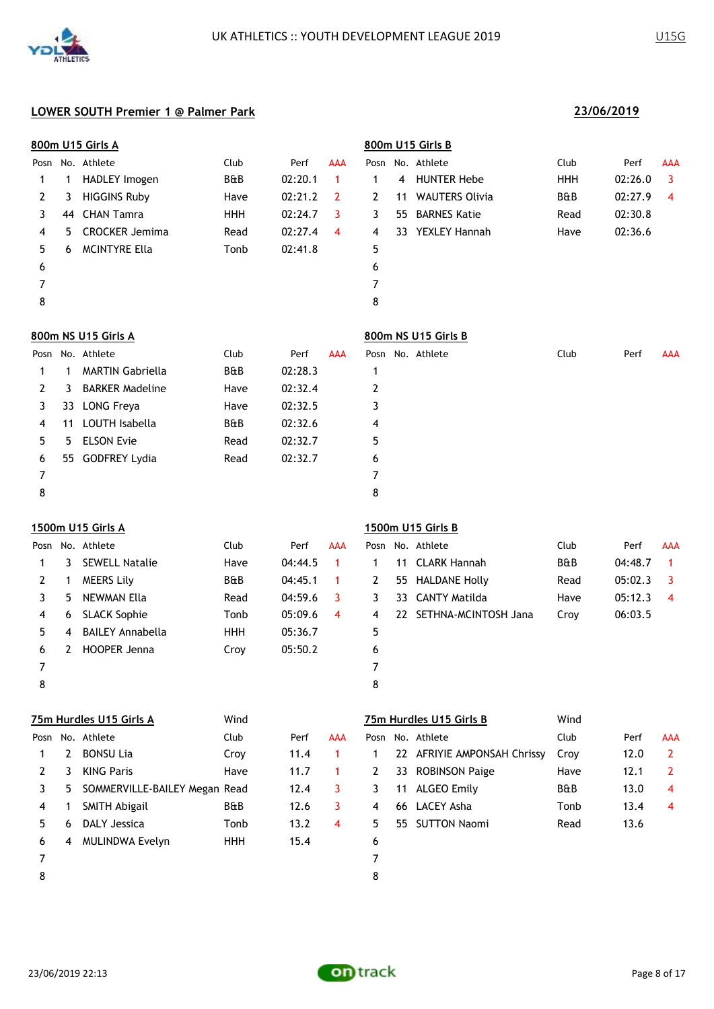

|                |             | 800m U15 Girls A        |                |         |                |                |    | 800m U15 Girls B      |                |         |                |
|----------------|-------------|-------------------------|----------------|---------|----------------|----------------|----|-----------------------|----------------|---------|----------------|
| Posn           |             | No. Athlete             | Club           | Perf    | <b>AAA</b>     | Posn           |    | No. Athlete           | Club           | Perf    | AAA            |
| 1              | 1           | HADLEY Imogen           | B&B            | 02:20.1 | 1              | $\mathbf 1$    | 4  | <b>HUNTER Hebe</b>    | HHH            | 02:26.0 | $\overline{3}$ |
| 2              | 3           | <b>HIGGINS Ruby</b>     | Have           | 02:21.2 | $\overline{2}$ | $\overline{2}$ | 11 | <b>WAUTERS Olivia</b> | B&B            | 02:27.9 | $\overline{4}$ |
| 3              | 44          | <b>CHAN Tamra</b>       | <b>HHH</b>     | 02:24.7 | 3              | 3              | 55 | <b>BARNES Katie</b>   | Read           | 02:30.8 |                |
| 4              | 5           | <b>CROCKER Jemima</b>   | Read           | 02:27.4 | $\overline{4}$ | 4              | 33 | <b>YEXLEY Hannah</b>  | Have           | 02:36.6 |                |
| 5              | 6           | <b>MCINTYRE Ella</b>    | Tonb           | 02:41.8 |                | 5              |    |                       |                |         |                |
| 6              |             |                         |                |         |                | 6              |    |                       |                |         |                |
| $\overline{7}$ |             |                         |                |         |                | 7              |    |                       |                |         |                |
| 8              |             |                         |                |         |                | 8              |    |                       |                |         |                |
|                |             | 800m NS U15 Girls A     |                |         |                |                |    | 800m NS U15 Girls B   |                |         |                |
| Posn           |             | No. Athlete             | Club           | Perf    | <b>AAA</b>     |                |    | Posn No. Athlete      | Club           | Perf    | AAA            |
| 1              | $\mathbf 1$ | <b>MARTIN Gabriella</b> | <b>B&amp;B</b> | 02:28.3 |                | 1              |    |                       |                |         |                |
| 2              | 3           | <b>BARKER Madeline</b>  | Have           | 02:32.4 |                | 2              |    |                       |                |         |                |
| 3              | 33          | <b>LONG Freya</b>       | Have           | 02:32.5 |                | 3              |    |                       |                |         |                |
| 4              | 11          | LOUTH Isabella          | <b>B&amp;B</b> | 02:32.6 |                | 4              |    |                       |                |         |                |
| 5              | 5.          | <b>ELSON Evie</b>       | Read           | 02:32.7 |                | 5              |    |                       |                |         |                |
| 6              | 55          | <b>GODFREY Lydia</b>    | Read           | 02:32.7 |                | 6              |    |                       |                |         |                |
| 7              |             |                         |                |         |                | $\overline{7}$ |    |                       |                |         |                |
| 8              |             |                         |                |         |                | 8              |    |                       |                |         |                |
|                |             | 1500m U15 Girls A       |                |         |                |                |    | 1500m U15 Girls B     |                |         |                |
| Posn           |             | No. Athlete             | Club           | Perf    | AAA            |                |    | Posn No. Athlete      | Club           | Perf    | <b>AAA</b>     |
| 1              | 3           | <b>SEWELL Natalie</b>   | Have           | 04:44.5 | $\mathbf{1}$   | 1              | 11 | <b>CLARK Hannah</b>   | <b>B&amp;B</b> | 04:48.7 | $\mathbf{1}$   |
| 2              | 1           | <b>MEERS Lily</b>       | B&B            | 04:45.1 | 1              | 2              | 55 | <b>HALDANE Holly</b>  | Read           | 05:02.3 | 3              |
| 3              | 5           | <b>NEWMAN Ella</b>      | Read           | 04:59.6 | 3              | 3              | 33 | <b>CANTY Matilda</b>  | Have           | 05:12.3 | 4              |
| 4              | 6           | <b>SLACK Sophie</b>     | Tonb           | 05:09.6 | 4              | 4              | 22 | SETHNA-MCINTOSH Jana  | Croy           | 06:03.5 |                |

2 HOOPER Jenna Croy 05:50.2 6

 7 8

**75m Hurdles U15 Girls A** Wind **75m Hurdles U15 Girls B** Wind Posn No. Athlete Club Club Perf AAA Posn No. Athlete Club Perf AAA 1 2 BONSU Lia Croy 11.4 1 1 22 AFRIYIE AMPONSAH Chrissy Croy 12.0 2 2 3 KING Paris **Have** 11.7 1 2 33 ROBINSON Paige Have 12.1 2 3 5 SOMMERVILLE-BAILEY Megan Read 12.4 3 3 11 ALGEO Emily B&B 13.0 4 4 1 SMITH Abigail 88 B&B 12.6 3 4 66 LACEY Asha 17 Tonb 13.4 4 6 DALY Jessica Tonb 13.2 4 5 55 SUTTON Naomi Read 13.6 4 MULINDWA Evelyn HHH 15.4 6 7 8

4 BAILEY Annabella HHH 05:36.7 5

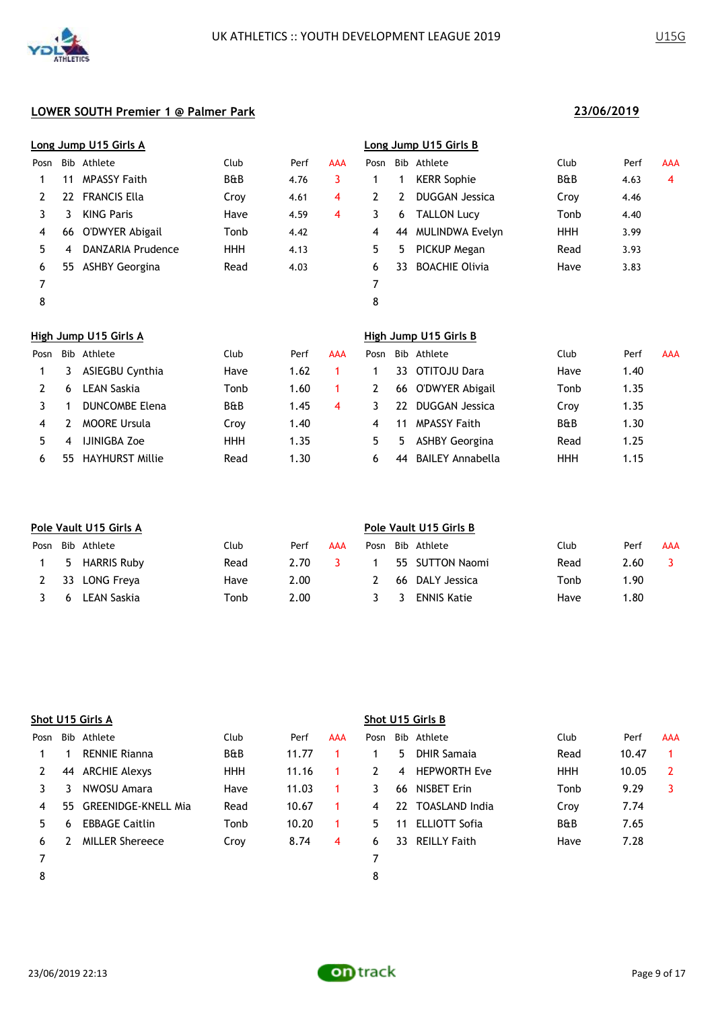

|      |     | Long Jump U15 Girls A  |                |      |            |              |                | Long Jump U15 Girls B  |                |      |                |
|------|-----|------------------------|----------------|------|------------|--------------|----------------|------------------------|----------------|------|----------------|
| Posn |     | Bib Athlete            | Club           | Perf | <b>AAA</b> | Posn         |                | Bib Athlete            | Club           | Perf | AAA            |
|      | 11  | <b>MPASSY Faith</b>    | <b>B&amp;B</b> | 4.76 | 3          |              |                | <b>KERR Sophie</b>     | <b>B&amp;B</b> | 4.63 | $\overline{4}$ |
| 2    | 22  | <b>FRANCIS Ella</b>    | Croy           | 4.61 | 4          | $\mathbf{2}$ | $\overline{2}$ | <b>DUGGAN Jessica</b>  | Croy           | 4.46 |                |
| 3    | 3.  | <b>KING Paris</b>      | Have           | 4.59 | 4          | 3            | 6              | <b>TALLON Lucy</b>     | Tonb           | 4.40 |                |
| 4    | 66  | O'DWYER Abigail        | Tonb           | 4.42 |            | 4            | 44             | <b>MULINDWA Evelyn</b> | HHH            | 3.99 |                |
| 5.   | 4   | DANZARIA Prudence      | <b>HHH</b>     | 4.13 |            | 5.           | 5.             | PICKUP Megan           | Read           | 3.93 |                |
| 6    | 55. | ASHBY Georgina         | Read           | 4.03 |            | 6            | 33.            | <b>BOACHIE Olivia</b>  | Have           | 3.83 |                |
| 7    |     |                        |                |      |            | 7            |                |                        |                |      |                |
| 8    |     |                        |                |      |            | 8            |                |                        |                |      |                |
|      |     | High Jump U15 Girls A  |                |      |            |              |                | High Jump U15 Girls B  |                |      |                |
| Posn |     | Bib Athlete            | Club           | Perf | AAA        | Posn         |                | Bib Athlete            | Club           | Perf | AAA            |
|      | 3   | <b>ASIEGBU Cynthia</b> | Have           | 1.62 |            |              | 33             | OTITOJU Dara           | Have           | 1.40 |                |

|    | ASIEGBU Cynthia        | Have           | 1.62 |   |    | 33 OTITOJU Dara<br>Have              | 1.40 |
|----|------------------------|----------------|------|---|----|--------------------------------------|------|
|    | LEAN Saskia            | Tonb           | 1.60 |   |    | 66 O'DWYER Abigail<br>Tonb           | 1.35 |
|    | <b>DUNCOMBE Elena</b>  | <b>B&amp;B</b> | 1.45 | 4 |    | DUGGAN Jessica<br>22<br>Croy         | 1.35 |
|    | <b>MOORE Ursula</b>    | Crov           | 1.40 |   | 4  | <b>B&amp;B</b><br>MPASSY Faith       | 1.30 |
|    | <b>IJINIGBA Zoe</b>    | HHH            | 1.35 |   | 5. | ASHBY Georgina<br>Read<br>5.         | 1.25 |
| 55 | <b>HAYHURST Millie</b> | Read           | 1.30 |   | h  | HHH<br><b>BAILEY Annabella</b><br>44 | 1.15 |

|      |   | Pole Vault U15 Girls A |      |      |     | Pole Vault U15 Girls B |     |                    |      |      |            |
|------|---|------------------------|------|------|-----|------------------------|-----|--------------------|------|------|------------|
| Posn |   | Bib Athlete            | Club | Perf | AAA | Posn                   |     | Bib Athlete        | Club | Perf | <b>AAA</b> |
|      |   | 5 HARRIS Ruby          | Read | 2.70 |     |                        |     | 55 SUTTON Naomi    | Read | 2.60 |            |
|      |   | 33 LONG Freva          | Have | 2.00 |     |                        | -66 | DALY Jessica       | Tonb | 1.90 |            |
|      | 6 | LEAN Saskia            | Tonb | 2.00 |     |                        | -3  | <b>ENNIS Katie</b> | Have | 1.80 |            |

|      | Shot U15 Girls A |                            |                |       |     |      | Shot U15 Girls B |                      |                |       |            |  |
|------|------------------|----------------------------|----------------|-------|-----|------|------------------|----------------------|----------------|-------|------------|--|
| Posn |                  | Bib Athlete                | Club           | Perf  | AAA | Posn |                  | Bib Athlete          | Club           | Perf  | <b>AAA</b> |  |
|      |                  | <b>RENNIE Rianna</b>       | <b>B&amp;B</b> | 11.77 |     |      | 5.               | <b>DHIR Samaja</b>   | Read           | 10.47 |            |  |
|      | 44               | ARCHIE Alexys              | <b>HHH</b>     | 11.16 |     | 2    | 4                | <b>HEPWORTH Eve</b>  | <b>HHH</b>     | 10.05 | 2          |  |
|      |                  | NWOSU Amara                | Have           | 11.03 |     | 3    | 66               | NISBET Erin          | Tonb           | 9.29  | 3          |  |
| 4    | 55.              | <b>GREENIDGE-KNELL Mia</b> | Read           | 10.67 |     | 4    | 22               | TOASLAND India       | Croy           | 7.74  |            |  |
| 5.   | 6                | <b>EBBAGE Caitlin</b>      | Tonb           | 10.20 | 1.  | 5.   | 11               | <b>ELLIOTT Sofia</b> | <b>B&amp;B</b> | 7.65  |            |  |
| 6    |                  | <b>MILLER Shereece</b>     | Croy           | 8.74  | 4   | 6    | 33.              | <b>REILLY Faith</b>  | Have           | 7.28  |            |  |
|      |                  |                            |                |       |     |      |                  |                      |                |       |            |  |
| 8    |                  |                            |                |       |     | 8    |                  |                      |                |       |            |  |
|      |                  |                            |                |       |     |      |                  |                      |                |       |            |  |

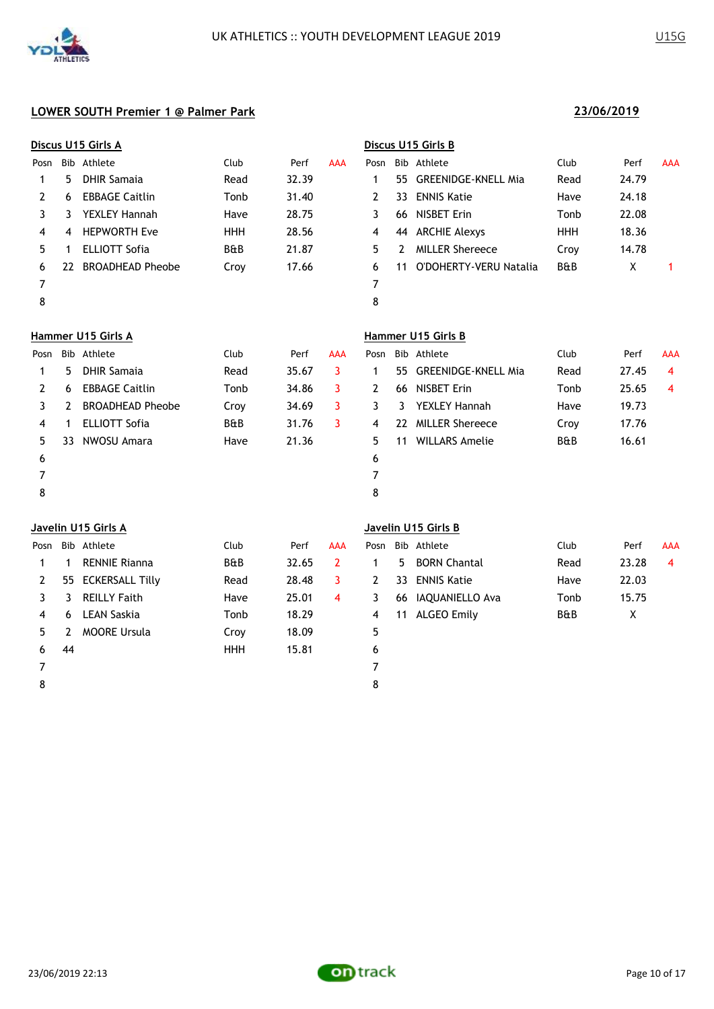

|      | Discus U15 Girls A |                         |                |       |            | Discus U15 Girls B |              |                            |                |       |            |
|------|--------------------|-------------------------|----------------|-------|------------|--------------------|--------------|----------------------------|----------------|-------|------------|
| Posn |                    | Bib Athlete             | Club           | Perf  | <b>AAA</b> | Posn               |              | Bib Athlete                | Club           | Perf  | <b>AAA</b> |
| 1    | 5                  | <b>DHIR Samaja</b>      | Read           | 32.39 |            | 1                  | 55           | <b>GREENIDGE-KNELL Mia</b> | Read           | 24.79 |            |
| 2    | 6                  | <b>EBBAGE Caitlin</b>   | Tonb           | 31.40 |            | 2                  | 33           | <b>ENNIS Katie</b>         | Have           | 24.18 |            |
| 3    | 3                  | <b>YEXLEY Hannah</b>    | Have           | 28.75 |            | 3                  | 66           | <b>NISBET Erin</b>         | Tonb           | 22.08 |            |
| 4    | 4                  | <b>HEPWORTH Eve</b>     | <b>HHH</b>     | 28.56 |            | 4                  | 44           | <b>ARCHIE Alexys</b>       | <b>HHH</b>     | 18.36 |            |
| 5    | 1                  | <b>ELLIOTT Sofia</b>    | B&B            | 21.87 |            | 5                  | $\mathbf{2}$ | <b>MILLER Shereece</b>     | Croy           | 14.78 |            |
| 6    | 22                 | <b>BROADHEAD Pheobe</b> | Croy           | 17.66 |            | 6                  | 11           | O'DOHERTY-VERU Natalia     | <b>B&amp;B</b> | X     |            |
| 7    |                    |                         |                |       |            | 7                  |              |                            |                |       |            |
| 8    |                    |                         |                |       |            | 8                  |              |                            |                |       |            |
|      |                    | Hammer U15 Girls A      |                |       |            |                    |              | Hammer U15 Girls B         |                |       |            |
| Posn |                    | Bib Athlete             | Club           | Perf  | <b>AAA</b> | Posn               |              | Bib Athlete                | Club           | Perf  | <b>AAA</b> |
| 1    | 5                  | <b>DHIR Samaja</b>      | Read           | 35.67 | 3          | 1                  | 55           | <b>GREENIDGE-KNELL Mia</b> | Read           | 27.45 | 4          |
| 2    | 6                  | <b>EBBAGE Caitlin</b>   | Tonb           | 34.86 | 3          | 2                  | 66           | <b>NISBET Erin</b>         | Tonb           | 25.65 | 4          |
| 3    | 2                  | <b>BROADHEAD Pheobe</b> | Croy           | 34.69 | 3          | 3                  | 3            | <b>YEXLEY Hannah</b>       | Have           | 19.73 |            |
| 4    | 1                  | <b>ELLIOTT Sofia</b>    | <b>B&amp;B</b> | 31.76 | 3          | 4                  | 22           | <b>MILLER Shereece</b>     | Croy           | 17.76 |            |
| 5    | 33                 | NWOSU Amara             | Have           | 21.36 |            | 5                  | 11           | <b>WILLARS Amelie</b>      | <b>B&amp;B</b> | 16.61 |            |
| 6    |                    |                         |                |       |            | 6                  |              |                            |                |       |            |
| 7    |                    |                         |                |       |            | 7                  |              |                            |                |       |            |
| 8    |                    |                         |                |       |            | 8                  |              |                            |                |       |            |
|      |                    | Javelin U15 Girls A     |                |       |            |                    |              | Javelin U15 Girls B        |                |       |            |

| Posn |    | Bib Athlete          | Club       | Perf  | AAA | Posn |    | Bib Athlete         | Club           | Perf  | <b>AAA</b> |
|------|----|----------------------|------------|-------|-----|------|----|---------------------|----------------|-------|------------|
|      |    | <b>RENNIE Rianna</b> | B&B        | 32.65 |     |      | 5. | <b>BORN Chantal</b> | Read           | 23.28 | 4          |
| 2    |    | 55 ECKERSALL Tilly   | Read       | 28.48 |     | 2    |    | 33 ENNIS Katie      | Have           | 22.03 |            |
|      |    | <b>REILLY Faith</b>  | Have       | 25.01 | 4   | 3    | 66 | IAQUANIELLO Ava     | Tonb           | 15.75 |            |
| 4    | 6. | <b>LEAN Saskia</b>   | Tonb       | 18.29 |     | 4    | 11 | ALGEO Emily         | <b>B&amp;B</b> | X     |            |
| 5.   |    | <b>MOORE Ursula</b>  | Croy       | 18.09 |     | 5    |    |                     |                |       |            |
| 6    | 44 |                      | <b>HHH</b> | 15.81 |     | 6    |    |                     |                |       |            |
|      |    |                      |            |       |     |      |    |                     |                |       |            |
| 8    |    |                      |            |       |     | 8    |    |                     |                |       |            |
|      |    |                      |            |       |     |      |    |                     |                |       |            |

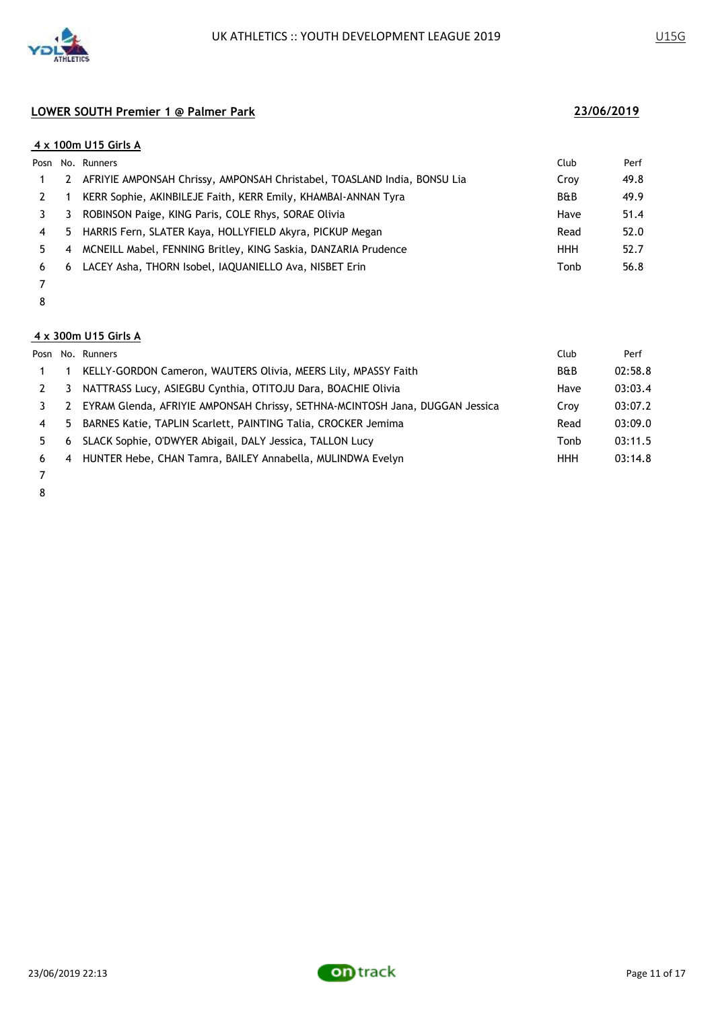

|    |    | 4 x 100m U15 Girls A                                                     |                |      |
|----|----|--------------------------------------------------------------------------|----------------|------|
|    |    | Posn No. Runners                                                         | Club           | Perf |
|    |    | AFRIYIE AMPONSAH Chrissy, AMPONSAH Christabel, TOASLAND India, BONSU Lia | Croy           | 49.8 |
|    |    | KERR Sophie, AKINBILEJE Faith, KERR Emily, KHAMBAI-ANNAN Tyra            | <b>B&amp;B</b> | 49.9 |
|    |    | ROBINSON Paige, KING Paris, COLE Rhys, SORAE Olivia                      | Have           | 51.4 |
| 4  | 5. | HARRIS Fern, SLATER Kaya, HOLLYFIELD Akyra, PICKUP Megan                 | Read           | 52.0 |
| 5. | 4  | MCNEILL Mabel, FENNING Britley, KING Saskia, DANZARIA Prudence           | <b>HHH</b>     | 52.7 |
| 6  | 6  | LACEY Asha, THORN Isobel, IAQUANIELLO Ava, NISBET Erin                   | Tonb           | 56.8 |
|    |    |                                                                          |                |      |

- 
- 

### **4 x 300m U15 Girls A**

|                |   | Posn No. Runners                                                             | Club           | Perf    |
|----------------|---|------------------------------------------------------------------------------|----------------|---------|
|                |   | KELLY-GORDON Cameron, WAUTERS Olivia, MEERS Lily, MPASSY Faith               | <b>B&amp;B</b> | 02:58.8 |
|                | 3 | NATTRASS Lucy, ASIEGBU Cynthia, OTITOJU Dara, BOACHIE Olivia                 | Have           | 03:03.4 |
|                |   | EYRAM Glenda, AFRIYIE AMPONSAH Chrissy, SETHNA-MCINTOSH Jana, DUGGAN Jessica | Croy           | 03:07.2 |
| $\overline{4}$ |   | 5 BARNES Katie, TAPLIN Scarlett, PAINTING Talia, CROCKER Jemima              | Read           | 03:09.0 |
| 5.             | 6 | SLACK Sophie, O'DWYER Abigail, DALY Jessica, TALLON Lucy                     | Tonb           | 03:11.5 |
| 6              |   | 4 HUNTER Hebe, CHAN Tamra, BAILEY Annabella, MULINDWA Evelyn                 | HHH            | 03:14.8 |
|                |   |                                                                              |                |         |

 

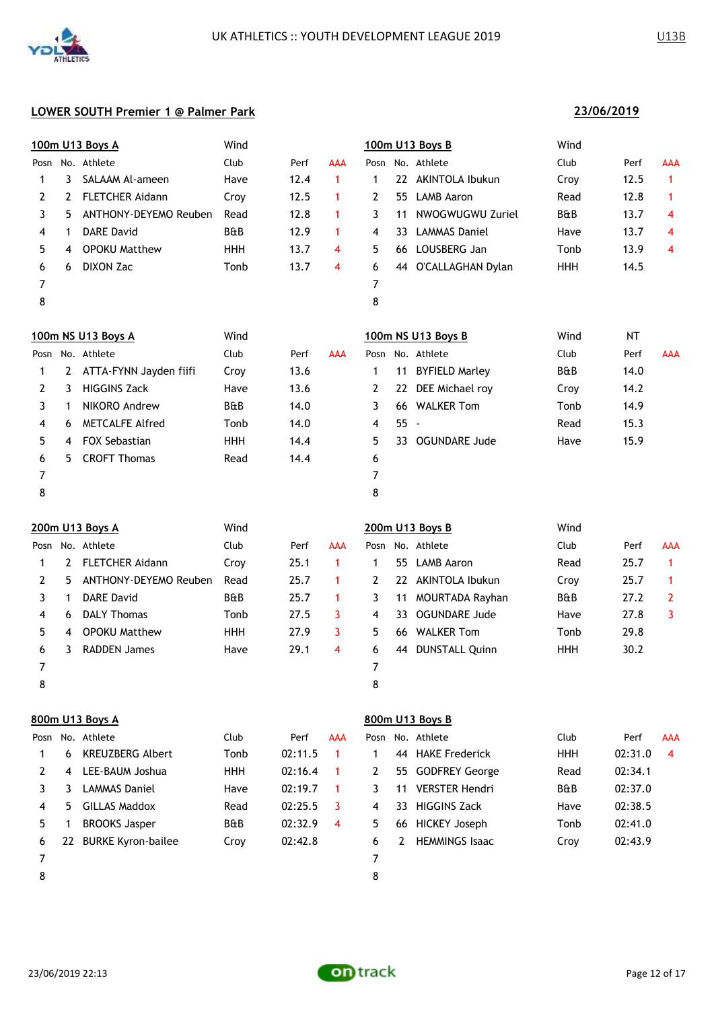

|      |                       | 100m U13 Boys A        | Wind           |      |              |      |    | 100m U13 Boys B          | Wind           |           |            |
|------|-----------------------|------------------------|----------------|------|--------------|------|----|--------------------------|----------------|-----------|------------|
| Posn |                       | No. Athlete            | Club           | Perf | <b>AAA</b>   | Posn |    | No. Athlete              | Club           | Perf      | <b>AAA</b> |
| 1    | 3.                    | SALAAM Al-ameen        | Have           | 12.4 | 1            | 1    | 22 | AKINTOLA Ibukun          | Croy           | 12.5      | 1          |
| 2    | 2                     | <b>FLETCHER Aidann</b> | Croy           | 12.5 | $\mathbf{1}$ | 2    | 55 | <b>LAMB Aaron</b>        | Read           | 12.8      | 1          |
| 3    | 5.                    | ANTHONY-DEYEMO Reuben  | Read           | 12.8 | 1.           | 3    | 11 | NWOGWUGWU Zuriel         | <b>B&amp;B</b> | 13.7      | 4          |
| 4    | 1                     | <b>DARE David</b>      | <b>B&amp;B</b> | 12.9 | $\mathbf{1}$ | 4    | 33 | <b>LAMMAS Daniel</b>     | Have           | 13.7      | 4          |
| 5    | 4                     | <b>OPOKU Matthew</b>   | HHH            | 13.7 | 4            | 5    |    | 66 LOUSBERG Jan          | Tonb           | 13.9      | 4          |
| 6    | 6                     | <b>DIXON Zac</b>       | Tonb           | 13.7 | 4            | 6    |    | 44 O'CALLAGHAN Dylan     | <b>HHH</b>     | 14.5      |            |
| 7    |                       |                        |                |      |              | 7    |    |                          |                |           |            |
| 8    |                       |                        |                |      |              | 8    |    |                          |                |           |            |
|      |                       | 100m NS U13 Boys A     | Wind           |      |              |      |    | 100m NS U13 Boys B       | Wind           | <b>NT</b> |            |
| Posn |                       | No. Athlete            | Club           | Perf | <b>AAA</b>   |      |    | Posn No. Athlete         | Club           | Perf      | <b>AAA</b> |
| 1    | $\mathbf{2}^{\prime}$ | ATTA-FYNN Jayden fiifi | Croy           | 13.6 |              | 1    |    | 11 BYFIELD Marley        | <b>B&amp;B</b> | 14.0      |            |
| 2    | 3.                    | <b>HIGGINS Zack</b>    | Have           | 13.6 |              | 2    | 22 | DEE Michael roy          | Croy           | 14.2      |            |
| 3    | 1                     | NIKORO Andrew          | B&B            | 14.0 |              | 3    | 66 | <b>WALKER Tom</b>        | Tonb           | 14.9      |            |
| 4    | 6                     | <b>METCALFE Alfred</b> | Tonb           | 14.0 |              | 4    | 55 | $\overline{\phantom{a}}$ | Read           | 15.3      |            |
| 5    | 4                     | <b>FOX Sebastian</b>   | <b>HHH</b>     | 14.4 |              | 5    | 33 | <b>OGUNDARE Jude</b>     | Have           | 15.9      |            |
| 6    | 5.                    | <b>CROFT Thomas</b>    | Read           | 14.4 |              | 6    |    |                          |                |           |            |
| 7    |                       |                        |                |      |              | 7    |    |                          |                |           |            |
| 8    |                       |                        |                |      |              | 8    |    |                          |                |           |            |
|      |                       |                        |                |      |              |      |    |                          |                |           |            |
|      |                       |                        |                |      |              |      |    |                          |                |           |            |

|      |    | 200m U13 Boys A        | Wind           |      |     |    |     | 200m U13 Boys B       | Wind           |      |            |
|------|----|------------------------|----------------|------|-----|----|-----|-----------------------|----------------|------|------------|
| Posn |    | No. Athlete            | Club           | Perf | AAA |    |     | Posn No. Athlete      | Club           | Perf | <b>AAA</b> |
|      | 2  | <b>FLETCHER Aidann</b> | Croy           | 25.1 |     |    |     | 55 LAMB Aaron         | Read           | 25.7 |            |
| 2    | 5. | ANTHONY-DEYEMO Reuben  | Read           | 25.7 |     |    |     | 22 AKINTOLA Ibukun    | Croy           | 25.7 |            |
|      |    | <b>DARE David</b>      | <b>B&amp;B</b> | 25.7 |     | 3  | 11  | MOURTADA Rayhan       | <b>B&amp;B</b> | 27.2 | 2          |
| 4    | 6  | <b>DALY Thomas</b>     | Tonb           | 27.5 | 3   | 4  | 33. | OGUNDARE Jude         | Have           | 27.8 | 3          |
| 5.   | 4  | <b>OPOKU Matthew</b>   | <b>HHH</b>     | 27.9 | 3   | 5. | 66  | <b>WALKER Tom</b>     | Tonb           | 29.8 |            |
| 6    | 3  | <b>RADDEN James</b>    | Have           | 29.1 | 4   | 6  | 44  | <b>DUNSTALL Quinn</b> | HHH            | 30.2 |            |
|      |    |                        |                |      |     |    |     |                       |                |      |            |
| 8    |    |                        |                |      |     | 8  |     |                       |                |      |            |

|      | 800m U13 Boys A |                           |                |         |            | 800m U13 Boys B |     |                       |                |         |            |  |  |
|------|-----------------|---------------------------|----------------|---------|------------|-----------------|-----|-----------------------|----------------|---------|------------|--|--|
| Posn |                 | No. Athlete               | Club           | Perf    | <b>AAA</b> |                 |     | Posn No. Athlete      | Club           | Perf    | <b>AAA</b> |  |  |
|      | 6               | <b>KREUZBERG Albert</b>   | Tonb           | 02:11.5 |            |                 | 44  | <b>HAKE Frederick</b> | <b>HHH</b>     | 02:31.0 | -4         |  |  |
|      | 4               | LEE-BAUM Joshua           | <b>HHH</b>     | 02:16.4 |            | 2               | 55  | <b>GODFREY George</b> | Read           | 02:34.1 |            |  |  |
| 3    |                 | <b>LAMMAS Daniel</b>      | Have           | 02:19.7 |            | 3.              | 11  | <b>VERSTER Hendri</b> | <b>B&amp;B</b> | 02:37.0 |            |  |  |
| 4    | 5               | GILLAS Maddox             | Read           | 02:25.5 | 3          | 4               | 33. | <b>HIGGINS Zack</b>   | Have           | 02:38.5 |            |  |  |
| 5    |                 | <b>BROOKS Jasper</b>      | <b>B&amp;B</b> | 02:32.9 | 4          | 5.              | 66  | <b>HICKEY Joseph</b>  | Tonb           | 02:41.0 |            |  |  |
| 6    | 22              | <b>BURKE Kyron-bailee</b> | Croy           | 02:42.8 |            | 6               |     | <b>HEMMINGS Isaac</b> | Croy           | 02:43.9 |            |  |  |
|      |                 |                           |                |         |            |                 |     |                       |                |         |            |  |  |
| 8    |                 |                           |                |         |            | 8               |     |                       |                |         |            |  |  |

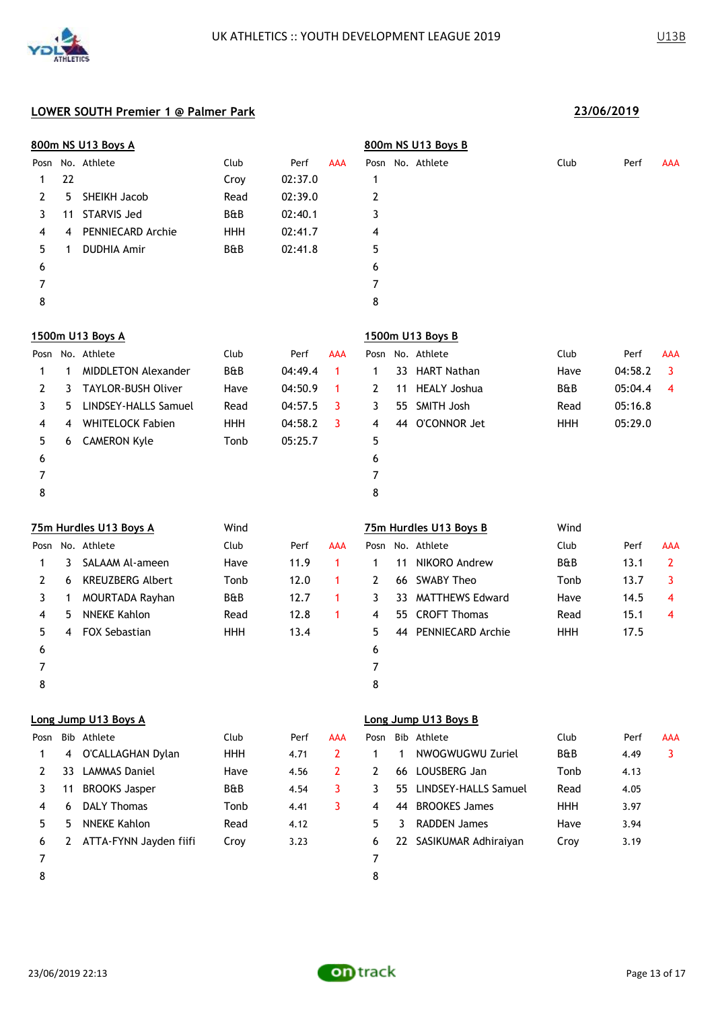

|                |              | 800m NS U13 Boys A          |            |         |                |                |    | 800m NS U13 Boys B      |            |         |              |
|----------------|--------------|-----------------------------|------------|---------|----------------|----------------|----|-------------------------|------------|---------|--------------|
|                |              | Posn No. Athlete            | Club       | Perf    | <b>AAA</b>     |                |    | Posn No. Athlete        | Club       | Perf    | AAA          |
| 1              | 22           |                             | Croy       | 02:37.0 |                | 1              |    |                         |            |         |              |
| 2              | 5            | SHEIKH Jacob                | Read       | 02:39.0 |                | 2              |    |                         |            |         |              |
| 3              | 11           | <b>STARVIS Jed</b>          | B&B        | 02:40.1 |                | 3              |    |                         |            |         |              |
| 4              | 4            | PENNIECARD Archie           | <b>HHH</b> | 02:41.7 |                | 4              |    |                         |            |         |              |
| 5              | 1            | <b>DUDHIA Amir</b>          | B&B        | 02:41.8 |                | 5              |    |                         |            |         |              |
| 6              |              |                             |            |         |                | 6              |    |                         |            |         |              |
| $\overline{7}$ |              |                             |            |         |                | 7              |    |                         |            |         |              |
| 8              |              |                             |            |         |                | 8              |    |                         |            |         |              |
|                |              | 1500m U13 Boys A            |            |         |                |                |    | 1500m U13 Boys B        |            |         |              |
|                |              | Posn No. Athlete            | Club       | Perf    | AAA            |                |    | Posn No. Athlete        | Club       | Perf    | AAA          |
| 1              | 1            | <b>MIDDLETON Alexander</b>  | B&B        | 04:49.4 | $\mathbf{1}$   | $\mathbf 1$    |    | 33 HART Nathan          | Have       | 04:58.2 | 3            |
| 2              | 3            | <b>TAYLOR-BUSH Oliver</b>   | Have       | 04:50.9 | $\mathbf{1}$   | 2              | 11 | <b>HEALY Joshua</b>     | B&B        | 05:04.4 | 4            |
| 3              | 5            | <b>LINDSEY-HALLS Samuel</b> | Read       | 04:57.5 | 3              | 3              | 55 | <b>SMITH Josh</b>       | Read       | 05:16.8 |              |
| 4              | 4            | <b>WHITELOCK Fabien</b>     | HHH        | 04:58.2 | 3              | 4              | 44 | O'CONNOR Jet            | <b>HHH</b> | 05:29.0 |              |
| 5              | 6            | <b>CAMERON Kyle</b>         | Tonb       | 05:25.7 |                | 5              |    |                         |            |         |              |
| 6              |              |                             |            |         |                | 6              |    |                         |            |         |              |
| 7              |              |                             |            |         |                | $\overline{7}$ |    |                         |            |         |              |
| 8              |              |                             |            |         |                | 8              |    |                         |            |         |              |
|                |              | 75m Hurdles U13 Boys A      | Wind       |         |                |                |    | 75m Hurdles U13 Boys B  | Wind       |         |              |
| Posn           |              | No. Athlete                 | Club       | Perf    | AAA            |                |    | Posn No. Athlete        | Club       | Perf    | AAA          |
| 1              | 3            | SALAAM Al-ameen             | Have       | 11.9    | $\mathbf{1}$   | $\mathbf 1$    | 11 | NIKORO Andrew           | B&B        | 13.1    | $\mathbf{2}$ |
| 2              | 6            | <b>KREUZBERG Albert</b>     | Tonb       | 12.0    | 1              | 2              |    | 66 SWABY Theo           | Tonb       | 13.7    | 3            |
| 3              | 1            | MOURTADA Rayhan             | B&B        | 12.7    | 1              | 3              | 33 | <b>MATTHEWS Edward</b>  | Have       | 14.5    | 4            |
| 4              | 5            | <b>NNEKE Kahlon</b>         | Read       | 12.8    | $\mathbf{1}$   | 4              | 55 | <b>CROFT Thomas</b>     | Read       | 15.1    | 4            |
| 5              | 4            | FOX Sebastian               | HHH        | 13.4    |                | 5              |    | 44 PENNIECARD Archie    | <b>HHH</b> | 17.5    |              |
| 6              |              |                             |            |         |                | 6              |    |                         |            |         |              |
| 7              |              |                             |            |         |                | 7              |    |                         |            |         |              |
| 8              |              |                             |            |         |                | 8              |    |                         |            |         |              |
|                |              | Long Jump U13 Boys A        |            |         |                |                |    | Long Jump U13 Boys B    |            |         |              |
| Posn           |              | Bib Athlete                 | Club       | Perf    | AAA            | Posn           |    | Bib Athlete             | Club       | Perf    | AAA          |
| 1              | 4            | O'CALLAGHAN Dylan           | <b>HHH</b> | 4.71    | $\overline{2}$ | $\mathbf 1$    | 1  | NWOGWUGWU Zuriel        | B&B        | 4.49    | 3            |
| 2              | 33           | <b>LAMMAS Daniel</b>        | Have       | 4.56    | $\mathbf{2}$   | 2              |    | 66 LOUSBERG Jan         | Tonb       | 4.13    |              |
| 3              | 11           | <b>BROOKS Jasper</b>        | B&B        | 4.54    | 3              | 3              |    | 55 LINDSEY-HALLS Samuel | Read       | 4.05    |              |
| 4              | 6            | <b>DALY Thomas</b>          | Tonb       | 4.41    | 3              | 4              |    | 44 BROOKES James        | <b>HHH</b> | 3.97    |              |
| 5              | 5            | <b>NNEKE Kahlon</b>         | Read       | 4.12    |                | 5              | 3  | <b>RADDEN James</b>     | Have       | 3.94    |              |
| 6              | $\mathbf{2}$ | ATTA-FYNN Jayden fiifi      | Croy       | 3.23    |                | 6              |    | 22 SASIKUMAR Adhiraiyan | Croy       | 3.19    |              |
| 7              |              |                             |            |         |                | 7              |    |                         |            |         |              |
| 8              |              |                             |            |         |                | 8              |    |                         |            |         |              |
|                |              |                             |            |         |                |                |    |                         |            |         |              |

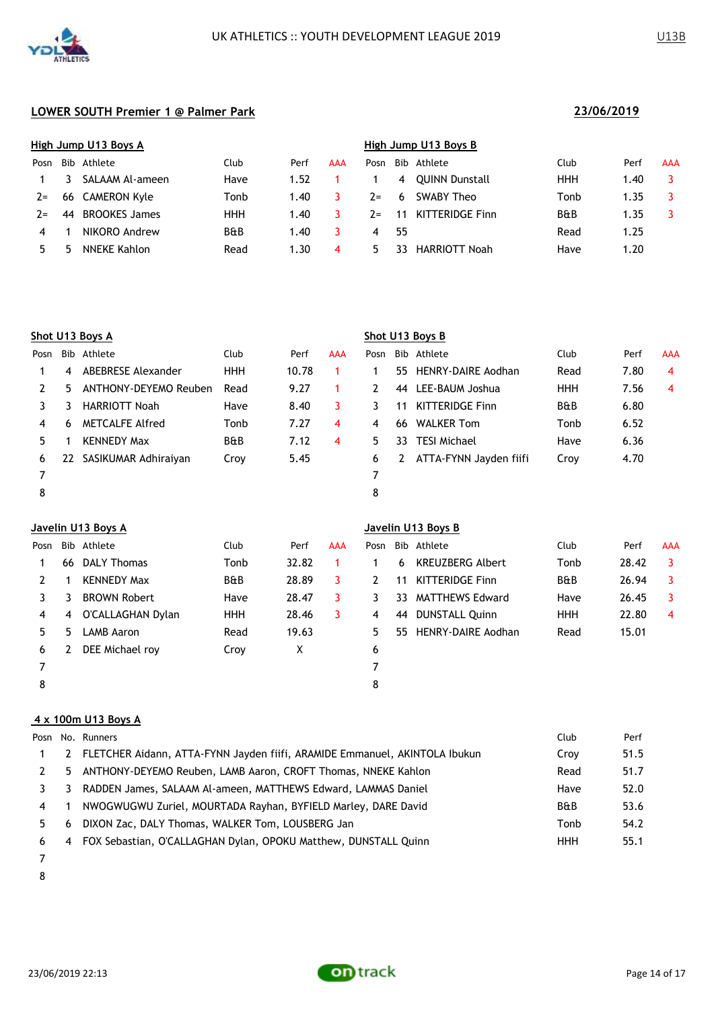

|       | High Jump U13 Boys A |                      |      |      |     |       | High Jump U13 Boys B |                       |                |      |            |  |  |  |
|-------|----------------------|----------------------|------|------|-----|-------|----------------------|-----------------------|----------------|------|------------|--|--|--|
| Posn  |                      | Bib Athlete          | Club | Perf | AAA | Posn  |                      | Bib Athlete           | Club           | Perf | <b>AAA</b> |  |  |  |
|       |                      | SALAAM Al-ameen      | Have | 1.52 |     |       | 4                    | <b>OUINN Dunstall</b> | HHH            | 1.40 |            |  |  |  |
| $2 =$ |                      | 66 CAMERON Kyle      | Tonb | 1.40 |     | $7 =$ | 6                    | SWABY Theo            | Tonb           | 1.35 |            |  |  |  |
| $7 =$ | 44                   | <b>BROOKES James</b> | HHH  | 1.40 |     | $2 =$ | 11                   | KITTERIDGE Finn       | <b>B&amp;B</b> | 1.35 |            |  |  |  |
| 4     |                      | NIKORO Andrew        | B&B  | 1.40 |     | 4     | -55                  |                       | Read           | 1.25 |            |  |  |  |
|       |                      | NNEKE Kahlon         | Read | 1.30 | 4   | ካ.    | 33                   | HARRIOTT Noah         | Have           | 1.20 |            |  |  |  |
|       |                      |                      |      |      |     |       |                      |                       |                |      |            |  |  |  |

|      | Shot U13 Boys A |                        |                |       |     |      | Shot U13 Boys B |                           |                |      |            |  |  |  |
|------|-----------------|------------------------|----------------|-------|-----|------|-----------------|---------------------------|----------------|------|------------|--|--|--|
| Posn |                 | Bib Athlete            | Club           | Perf  | AAA | Posn |                 | Bib Athlete               | Club           | Perf | <b>AAA</b> |  |  |  |
|      | 4               | ABEBRESE Alexander     | <b>HHH</b>     | 10.78 |     |      | 55.             | <b>HENRY-DAIRE Aodhan</b> | Read           | 7.80 | 4          |  |  |  |
|      | 5.              | ANTHONY-DEYEMO Reuben  | Read           | 9.27  |     |      | 44              | LEE-BAUM Joshua           | <b>HHH</b>     | 7.56 | 4          |  |  |  |
| 3    | 3               | <b>HARRIOTT Noah</b>   | Have           | 8.40  | 3   | 3    | 11              | <b>KITTERIDGE Finn</b>    | <b>B&amp;B</b> | 6.80 |            |  |  |  |
| 4    | 6               | <b>METCALFE Alfred</b> | Tonb           | 7.27  | 4   | 4    | -66             | <b>WALKER Tom</b>         | Tonb           | 6.52 |            |  |  |  |
| 5.   |                 | <b>KENNEDY Max</b>     | <b>B&amp;B</b> | 7.12  | 4   | 5.   | 33.             | <b>TESI Michael</b>       | Have           | 6.36 |            |  |  |  |
| 6    | 22              | SASIKUMAR Adhiraiyan   | Croy           | 5.45  |     | 6    |                 | ATTA-FYNN Jayden fiifi    | Croy           | 4.70 |            |  |  |  |
|      |                 |                        |                |       |     |      |                 |                           |                |      |            |  |  |  |
| 8    |                 |                        |                |       |     | 8    |                 |                           |                |      |            |  |  |  |

|      | Javelin U13 Boys A |                     |                |       |     |      |     | Javelin U13 Boys B      |                |       |            |  |  |  |  |
|------|--------------------|---------------------|----------------|-------|-----|------|-----|-------------------------|----------------|-------|------------|--|--|--|--|
| Posn |                    | Bib Athlete         | Club           | Perf  | AAA | Posn |     | Bib Athlete             | Club           | Perf  | <b>AAA</b> |  |  |  |  |
|      | 66                 | <b>DALY Thomas</b>  | Tonb           | 32.82 |     |      | 6   | <b>KREUZBERG Albert</b> | Tonb           | 28.42 | 3          |  |  |  |  |
|      |                    | <b>KENNEDY Max</b>  | <b>B&amp;B</b> | 28.89 | 3   | 2    | 11  | <b>KITTERIDGE Finn</b>  | <b>B&amp;B</b> | 26.94 | 3          |  |  |  |  |
|      | 3                  | <b>BROWN Robert</b> | Have           | 28.47 | 3   | 3    | 33  | <b>MATTHEWS Edward</b>  | Have           | 26.45 | 3          |  |  |  |  |
| 4    | 4                  | O'CALLAGHAN Dylan   | <b>HHH</b>     | 28.46 | 3   | 4    | 44  | <b>DUNSTALL Quinn</b>   | <b>HHH</b>     | 22.80 | 4          |  |  |  |  |
| 5.   | 5                  | LAMB Aaron          | Read           | 19.63 |     | 5.   | 55. | HENRY-DAIRE Aodhan      | Read           | 15.01 |            |  |  |  |  |
| 6    |                    | DEE Michael roy     | Croy           | X     |     | 6    |     |                         |                |       |            |  |  |  |  |
|      |                    |                     |                |       |     |      |     |                         |                |       |            |  |  |  |  |
| 8    |                    |                     |                |       |     | 8    |     |                         |                |       |            |  |  |  |  |
|      |                    |                     |                |       |     |      |     |                         |                |       |            |  |  |  |  |

## **4 x 100m U13 Boys A**

|    |                | Posn No. Runners                                                           | Club           | Perf |
|----|----------------|----------------------------------------------------------------------------|----------------|------|
|    | 2              | FLETCHER Aidann, ATTA-FYNN Jayden fiifi, ARAMIDE Emmanuel, AKINTOLA Ibukun | Croy           | 51.5 |
|    |                | 5 ANTHONY-DEYEMO Reuben, LAMB Aaron, CROFT Thomas, NNEKE Kahlon            | Read           | 51.7 |
|    | 3              | RADDEN James, SALAAM Al-ameen, MATTHEWS Edward, LAMMAS Daniel              | Have           | 52.0 |
| 4  |                | NWOGWUGWU Zuriel, MOURTADA Rayhan, BYFIELD Marley, DARE David              | <b>B&amp;B</b> | 53.6 |
| 5. | 6              | DIXON Zac, DALY Thomas, WALKER Tom, LOUSBERG Jan                           | Tonb           | 54.2 |
| 6  | $\overline{4}$ | FOX Sebastian, O'CALLAGHAN Dylan, OPOKU Matthew, DUNSTALL Quinn            | HHH            | 55.1 |
|    |                |                                                                            |                |      |

- 
- 

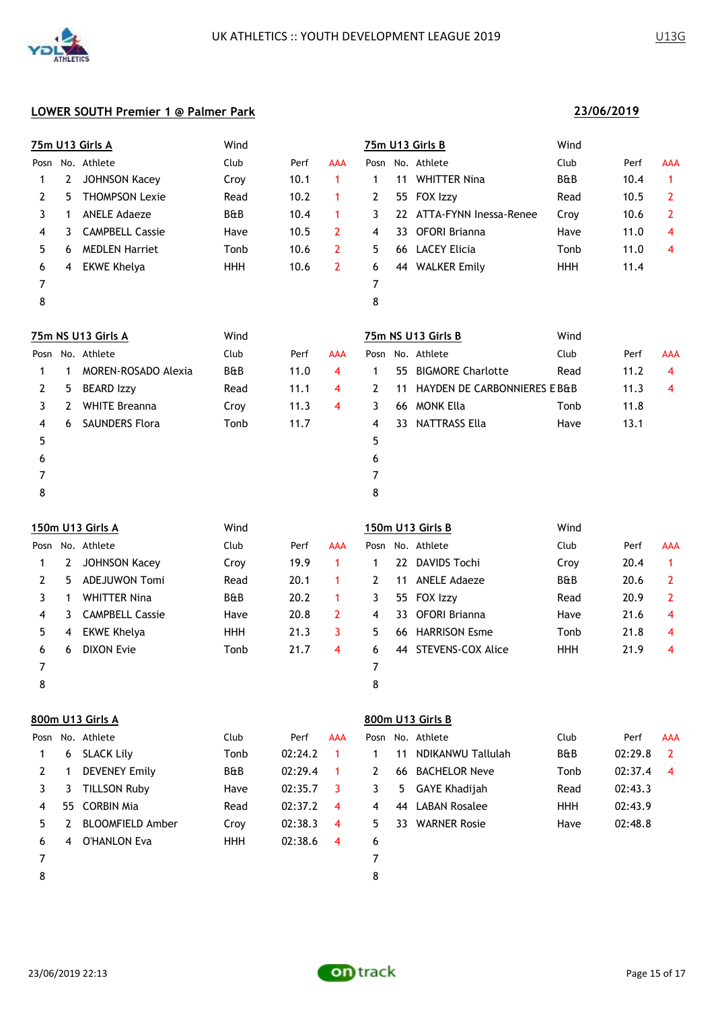

**23/06/2019**

### **LOWER SOUTH Premier 1 @ Palmer Park**

|      |                  | 75m U13 Girls A         | Wind           |         |                |              |                   | 75m U13 Girls B              | Wind           |         |                |
|------|------------------|-------------------------|----------------|---------|----------------|--------------|-------------------|------------------------------|----------------|---------|----------------|
| Posn |                  | No. Athlete             | Club           | Perf    | AAA            | Posn         |                   | No. Athlete                  | Club           | Perf    | AAA            |
| 1    | 2                | <b>JOHNSON Kacey</b>    | Croy           | 10.1    | $\mathbf{1}$   | 1            | 11                | <b>WHITTER Nina</b>          | <b>B&amp;B</b> | 10.4    | $\mathbf{1}$   |
| 2    | 5                | <b>THOMPSON Lexie</b>   | Read           | 10.2    | 1              | 2            | 55                | FOX Izzy                     | Read           | 10.5    | 2              |
| 3    | 1                | <b>ANELE Adaeze</b>     | <b>B&amp;B</b> | 10.4    | $\mathbf{1}$   | 3            |                   | 22 ATTA-FYNN Inessa-Renee    | Croy           | 10.6    | 2              |
| 4    | 3                | <b>CAMPBELL Cassie</b>  | Have           | 10.5    | $\overline{2}$ | 4            | 33.               | OFORI Brianna                | Have           | 11.0    | 4              |
| 5    | 6                | <b>MEDLEN Harriet</b>   | Tonb           | 10.6    | $\overline{2}$ | 5            |                   | 66 LACEY Elicia              | Tonb           | 11.0    | 4              |
| 6    | 4                | <b>EKWE Khelya</b>      | <b>HHH</b>     | 10.6    | $\overline{2}$ | 6            |                   | 44 WALKER Emily              | HHH            | 11.4    |                |
| 7    |                  |                         |                |         |                | 7            |                   |                              |                |         |                |
| 8    |                  |                         |                |         |                | 8            |                   |                              |                |         |                |
|      |                  | 75m NS U13 Girls A      | Wind           |         |                |              |                   | 75m NS U13 Girls B           | Wind           |         |                |
| Posn |                  | No. Athlete             | Club           | Perf    | AAA            |              |                   | Posn No. Athlete             | Club           | Perf    | <b>AAA</b>     |
| 1    | $\mathbf 1$      | MOREN-ROSADO Alexia     | B&B            | 11.0    | 4              | $\mathbf 1$  | 55.               | <b>BIGMORE Charlotte</b>     | Read           | 11.2    | 4              |
| 2    | 5                | <b>BEARD Izzy</b>       | Read           | 11.1    | 4              | 2            | 11                | HAYDEN DE CARBONNIERES E B&B |                | 11.3    | 4              |
| 3    | 2                | <b>WHITE Breanna</b>    | Croy           | 11.3    | 4              | 3            | 66                | MONK Ella                    | Tonb           | 11.8    |                |
| 4    | 6                | <b>SAUNDERS Flora</b>   | Tonb           | 11.7    |                | 4            | 33                | <b>NATTRASS Ella</b>         | Have           | 13.1    |                |
| 5    |                  |                         |                |         |                | 5            |                   |                              |                |         |                |
| 6    |                  |                         |                |         |                | 6            |                   |                              |                |         |                |
| 7    |                  |                         |                |         |                | 7            |                   |                              |                |         |                |
| 8    |                  |                         |                |         |                | 8            |                   |                              |                |         |                |
|      | 150m U13 Girls A |                         | Wind           |         |                |              |                   | 150m U13 Girls B             | Wind           |         |                |
|      |                  | Posn No. Athlete        | Club           | Perf    | AAA            |              |                   | Posn No. Athlete             | Club           | Perf    | AAA            |
| 1    | 2                | <b>JOHNSON Kacey</b>    | Croy           | 19.9    | $\mathbf{1}$   | $\mathbf 1$  | $22 \overline{ }$ | <b>DAVIDS Tochi</b>          | Croy           | 20.4    | $\mathbf{1}$   |
| 2    | 5                | <b>ADEJUWON Tomi</b>    | Read           | 20.1    | 1              | 2            | 11                | <b>ANELE Adaeze</b>          | B&B            | 20.6    | 2              |
| 3    | 1                | <b>WHITTER Nina</b>     | B&B            | 20.2    | 1              | 3            | 55                | FOX Izzy                     | Read           | 20.9    | 2              |
| 4    | 3                | <b>CAMPBELL Cassie</b>  | Have           | 20.8    | 2              | 4            | 33.               | <b>OFORI Brianna</b>         | Have           | 21.6    | 4              |
| 5    | 4                | <b>EKWE Khelya</b>      | <b>HHH</b>     | 21.3    | 3              | 5            | 66.               | <b>HARRISON Esme</b>         | Tonb           | 21.8    | 4              |
| 6    | 6                | <b>DIXON Evie</b>       | Tonb           | 21.7    | 4              | 6            | 44                | STEVENS-COX Alice            | <b>HHH</b>     | 21.9    | 4              |
| 7    |                  |                         |                |         |                | 7            |                   |                              |                |         |                |
| 8    |                  |                         |                |         |                | 8            |                   |                              |                |         |                |
|      |                  | 800m U13 Girls A        |                |         |                |              |                   | 800m U13 Girls B             |                |         |                |
|      |                  | Posn No. Athlete        | Club           | Perf    | AAA            |              |                   | Posn No. Athlete             | Club           | Perf    | <b>AAA</b>     |
| 1    | 6                | <b>SLACK Lily</b>       | Tonb           | 02:24.2 | $\mathbf{1}$   | 1            | 11                | NDIKANWU Tallulah            | B&B            | 02:29.8 | $\overline{2}$ |
| 2    | 1                | <b>DEVENEY Emily</b>    | B&B            | 02:29.4 | 1              | $\mathbf{2}$ |                   | 66 BACHELOR Neve             | Tonb           | 02:37.4 | 4              |
| 3    | 3                | <b>TILLSON Ruby</b>     | Have           | 02:35.7 | 3              | 3            | 5.                | <b>GAYE Khadijah</b>         | Read           | 02:43.3 |                |
| 4    | 55               | <b>CORBIN Mia</b>       | Read           | 02:37.2 | 4              | 4            | 44                | <b>LABAN Rosalee</b>         | <b>HHH</b>     | 02:43.9 |                |
| 5    | 2                | <b>BLOOMFIELD Amber</b> | Croy           | 02:38.3 | 4              | 5            |                   | 33 WARNER Rosie              | Have           | 02:48.8 |                |
| 6    | 4                | <b>O'HANLON Eva</b>     | <b>HHH</b>     | 02:38.6 | 4              | 6            |                   |                              |                |         |                |
| 7    |                  |                         |                |         |                | 7            |                   |                              |                |         |                |

8

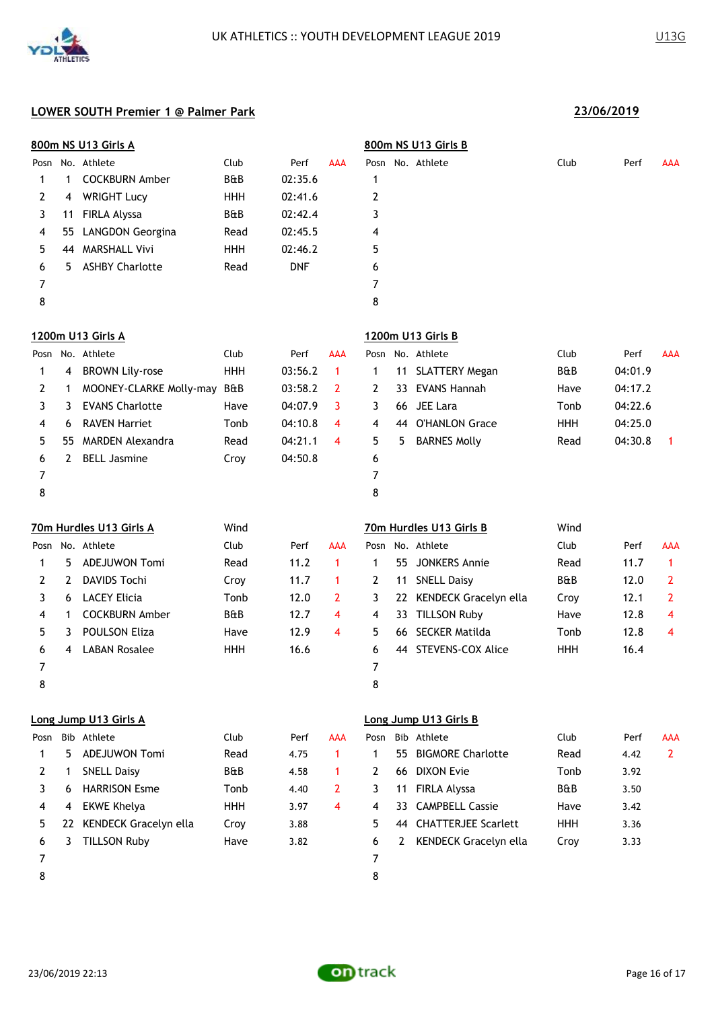

|  | 221061201 |  |
|--|-----------|--|

|      |    | 800m NS U13 Girls A      |                |            |                |                | 800m NS U13 Girls B |                          |                |         |                |  |
|------|----|--------------------------|----------------|------------|----------------|----------------|---------------------|--------------------------|----------------|---------|----------------|--|
|      |    | Posn No. Athlete         | Club           | Perf       | AAA            |                |                     | Posn No. Athlete         | Club           | Perf    | AAA            |  |
| 1    | 1  | <b>COCKBURN Amber</b>    | B&B            | 02:35.6    |                | $\mathbf 1$    |                     |                          |                |         |                |  |
| 2    | 4  | <b>WRIGHT Lucy</b>       | <b>HHH</b>     | 02:41.6    |                | 2              |                     |                          |                |         |                |  |
| 3    | 11 | FIRLA Alyssa             | B&B            | 02:42.4    |                | 3              |                     |                          |                |         |                |  |
| 4    | 55 | <b>LANGDON Georgina</b>  | Read           | 02:45.5    |                | 4              |                     |                          |                |         |                |  |
| 5    | 44 | <b>MARSHALL Vivi</b>     | <b>HHH</b>     | 02:46.2    |                | 5              |                     |                          |                |         |                |  |
| 6    | 5  | <b>ASHBY Charlotte</b>   | Read           | <b>DNF</b> |                | 6              |                     |                          |                |         |                |  |
| 7    |    |                          |                |            |                | 7              |                     |                          |                |         |                |  |
| 8    |    |                          |                |            |                | 8              |                     |                          |                |         |                |  |
|      |    | 1200m U13 Girls A        |                |            |                |                |                     | 1200m U13 Girls B        |                |         |                |  |
| Posn |    | No. Athlete              | Club           | Perf       | AAA            |                |                     | Posn No. Athlete         | Club           | Perf    | AAA            |  |
| 1    | 4  | <b>BROWN Lily-rose</b>   | <b>HHH</b>     | 03:56.2    | $\mathbf{1}$   | $\mathbf{1}$   | 11                  | <b>SLATTERY Megan</b>    | <b>B&amp;B</b> | 04:01.9 |                |  |
| 2    | 1  | MOONEY-CLARKE Molly-may  | B&B            | 03:58.2    | $\mathbf{2}$   | 2              | 33                  | <b>EVANS Hannah</b>      | Have           | 04:17.2 |                |  |
| 3    | 3  | <b>EVANS Charlotte</b>   | Have           | 04:07.9    | 3              | 3              | 66                  | JEE Lara                 | Tonb           | 04:22.6 |                |  |
| 4    | 6  | <b>RAVEN Harriet</b>     | Tonb           | 04:10.8    | 4              | 4              |                     | 44 O'HANLON Grace        | <b>HHH</b>     | 04:25.0 |                |  |
| 5    | 55 | <b>MARDEN Alexandra</b>  | Read           | 04:21.1    | 4              | 5              | 5                   | <b>BARNES Molly</b>      | Read           | 04:30.8 | $\mathbf{1}$   |  |
| 6    | 2  | <b>BELL Jasmine</b>      | Croy           | 04:50.8    |                | 6              |                     |                          |                |         |                |  |
| 7    |    |                          |                |            |                | 7              |                     |                          |                |         |                |  |
| 8    |    |                          |                |            |                | 8              |                     |                          |                |         |                |  |
|      |    | 70m Hurdles U13 Girls A  | Wind           |            |                |                |                     | 70m Hurdles U13 Girls B  | Wind           |         |                |  |
|      |    | Posn No. Athlete         | Club           | Perf       | AAA            |                |                     | Posn No. Athlete         | Club           | Perf    | AAA            |  |
| 1    | 5  | <b>ADEJUWON Tomi</b>     | Read           | 11.2       | $\mathbf{1}$   | 1              | 55                  | <b>JONKERS Annie</b>     | Read           | 11.7    | 1              |  |
| 2    | 2  | <b>DAVIDS Tochi</b>      | Croy           | 11.7       | $\mathbf{1}$   | 2              | 11                  | <b>SNELL Daisy</b>       | B&B            | 12.0    | $\mathbf{2}$   |  |
| 3    | 6  | <b>LACEY Elicia</b>      | Tonb           | 12.0       | $\overline{2}$ | 3              |                     | 22 KENDECK Gracelyn ella | Croy           | 12.1    | 2              |  |
| 4    | 1  | <b>COCKBURN Amber</b>    | B&B            | 12.7       | 4              | 4              |                     | 33 TILLSON Ruby          | Have           | 12.8    | 4              |  |
| 5    | 3  | <b>POULSON Eliza</b>     | Have           | 12.9       | 4              | 5              |                     | 66 SECKER Matilda        | Tonb           | 12.8    | 4              |  |
| 6    | 4  | <b>LABAN Rosalee</b>     | <b>HHH</b>     | 16.6       |                | 6              | 44                  | <b>STEVENS-COX Alice</b> | <b>HHH</b>     | 16.4    |                |  |
| 7    |    |                          |                |            |                | 7              |                     |                          |                |         |                |  |
| 8    |    |                          |                |            |                | 8              |                     |                          |                |         |                |  |
|      |    | Long Jump U13 Girls A    |                |            |                |                |                     | Long Jump U13 Girls B    |                |         |                |  |
| Posn |    | Bib Athlete              | Club           | Perf       | AAA            |                |                     | Posn Bib Athlete         | Club           | Perf    | AAA            |  |
| 1    | 5. | <b>ADEJUWON Tomi</b>     | Read           | 4.75       | $\mathbf{1}$   | $\mathbf{1}$   |                     | 55 BIGMORE Charlotte     | Read           | 4.42    | $\overline{2}$ |  |
| 2    | 1  | <b>SNELL Daisy</b>       | <b>B&amp;B</b> | 4.58       | $\mathbf 1$    | $\mathbf{2}$   |                     | 66 DIXON Evie            | Tonb           | 3.92    |                |  |
| 3    | 6  | <b>HARRISON Esme</b>     | Tonb           | 4.40       | $\overline{2}$ | 3              | 11                  | FIRLA Alyssa             | B&B            | 3.50    |                |  |
| 4    | 4  | <b>EKWE Khelya</b>       | <b>HHH</b>     | 3.97       | 4              | 4              | 33                  | <b>CAMPBELL Cassie</b>   | Have           | 3.42    |                |  |
| 5    |    | 22 KENDECK Gracelyn ella | Croy           | 3.88       |                | 5              |                     | 44 CHATTERJEE Scarlett   | <b>HHH</b>     | 3.36    |                |  |
| 6    | 3  | <b>TILLSON Ruby</b>      | Have           | 3.82       |                | 6              | $\mathbf{2}$        | KENDECK Gracelyn ella    | Croy           | 3.33    |                |  |
| 7    |    |                          |                |            |                | $\overline{7}$ |                     |                          |                |         |                |  |
| 8    |    |                          |                |            |                | 8              |                     |                          |                |         |                |  |
|      |    |                          |                |            |                |                |                     |                          |                |         |                |  |